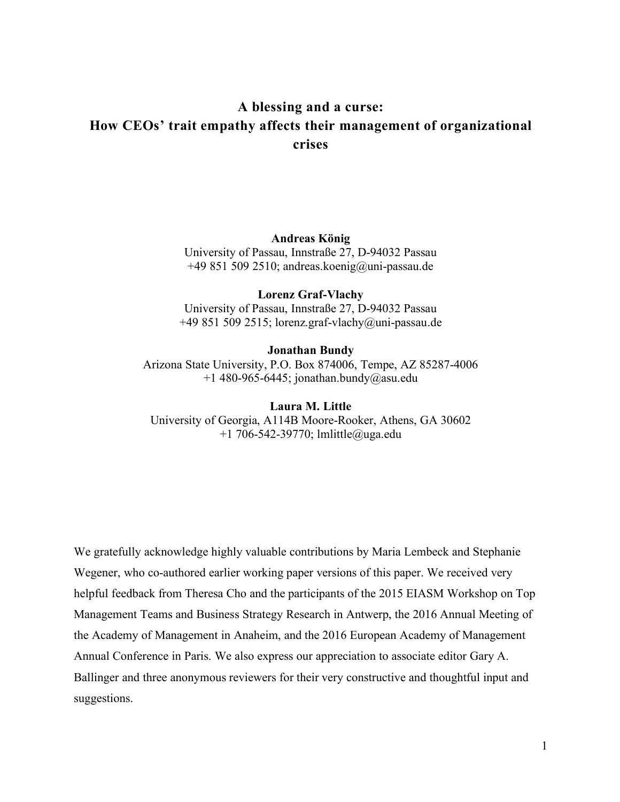# **A blessing and a curse: How CEOs' trait empathy affects their management of organizational crises**

### **Andreas König**

University of Passau, Innstraße 27, D-94032 Passau +49 851 509 2510; andreas.koenig@uni-passau.de

#### **Lorenz Graf-Vlachy**

University of Passau, Innstraße 27, D-94032 Passau +49 851 509 2515; lorenz.graf-vlachy@uni-passau.de

**Jonathan Bundy** Arizona State University, P.O. Box 874006, Tempe, AZ 85287-4006 +1 480-965-6445; jonathan.bundy@asu.edu

**Laura M. Little** University of Georgia, A114B Moore-Rooker, Athens, GA 30602 +1 706-542-39770; lmlittle@uga.edu

We gratefully acknowledge highly valuable contributions by Maria Lembeck and Stephanie Wegener, who co-authored earlier working paper versions of this paper. We received very helpful feedback from Theresa Cho and the participants of the 2015 EIASM Workshop on Top Management Teams and Business Strategy Research in Antwerp, the 2016 Annual Meeting of the Academy of Management in Anaheim, and the 2016 European Academy of Management Annual Conference in Paris. We also express our appreciation to associate editor Gary A. Ballinger and three anonymous reviewers for their very constructive and thoughtful input and suggestions.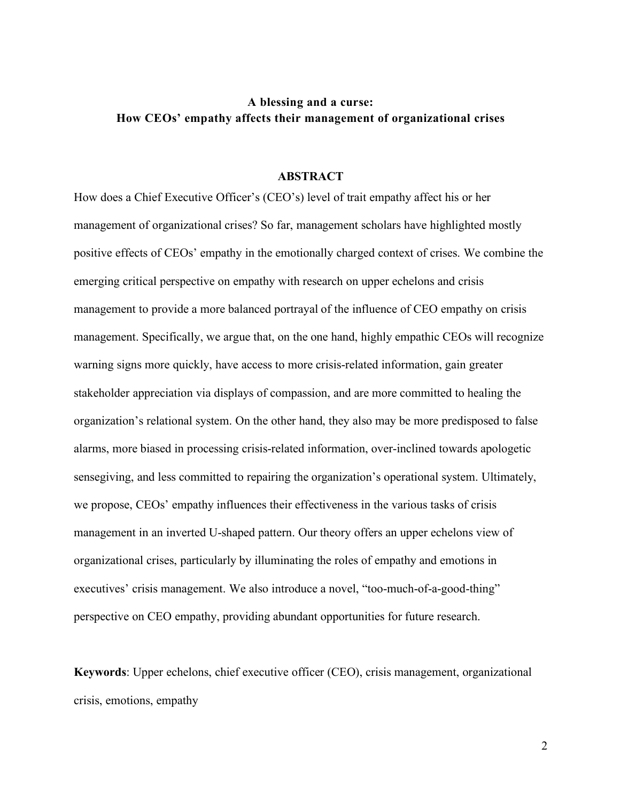# **A blessing and a curse: How CEOs' empathy affects their management of organizational crises**

### **ABSTRACT**

How does a Chief Executive Officer's (CEO's) level of trait empathy affect his or her management of organizational crises? So far, management scholars have highlighted mostly positive effects of CEOs' empathy in the emotionally charged context of crises. We combine the emerging critical perspective on empathy with research on upper echelons and crisis management to provide a more balanced portrayal of the influence of CEO empathy on crisis management. Specifically, we argue that, on the one hand, highly empathic CEOs will recognize warning signs more quickly, have access to more crisis-related information, gain greater stakeholder appreciation via displays of compassion, and are more committed to healing the organization's relational system. On the other hand, they also may be more predisposed to false alarms, more biased in processing crisis-related information, over-inclined towards apologetic sensegiving, and less committed to repairing the organization's operational system. Ultimately, we propose, CEOs' empathy influences their effectiveness in the various tasks of crisis management in an inverted U-shaped pattern. Our theory offers an upper echelons view of organizational crises, particularly by illuminating the roles of empathy and emotions in executives' crisis management. We also introduce a novel, "too-much-of-a-good-thing" perspective on CEO empathy, providing abundant opportunities for future research.

**Keywords**: Upper echelons, chief executive officer (CEO), crisis management, organizational crisis, emotions, empathy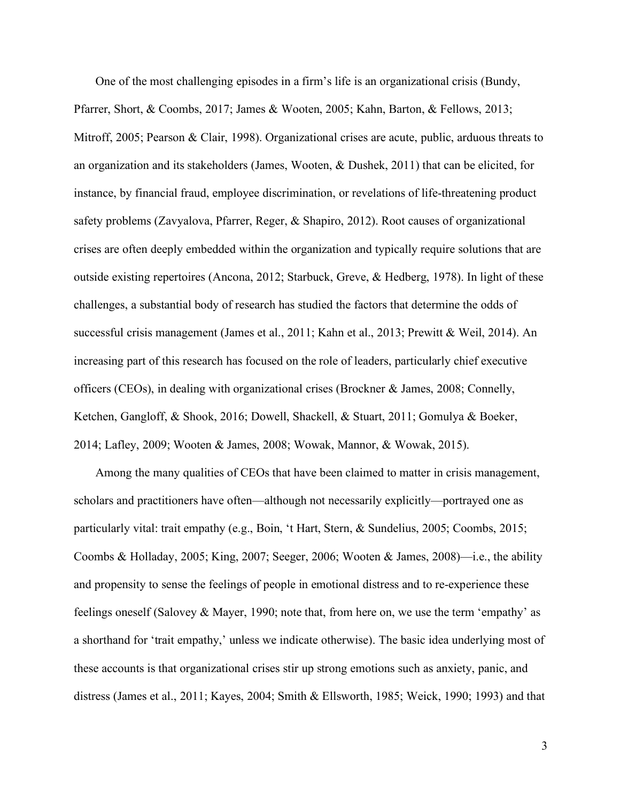One of the most challenging episodes in a firm's life is an organizational crisis (Bundy, Pfarrer, Short, & Coombs, 2017; James & Wooten, 2005; Kahn, Barton, & Fellows, 2013; Mitroff, 2005; Pearson & Clair, 1998). Organizational crises are acute, public, arduous threats to an organization and its stakeholders (James, Wooten, & Dushek, 2011) that can be elicited, for instance, by financial fraud, employee discrimination, or revelations of life-threatening product safety problems (Zavyalova, Pfarrer, Reger, & Shapiro, 2012). Root causes of organizational crises are often deeply embedded within the organization and typically require solutions that are outside existing repertoires (Ancona, 2012; Starbuck, Greve, & Hedberg, 1978). In light of these challenges, a substantial body of research has studied the factors that determine the odds of successful crisis management (James et al., 2011; Kahn et al., 2013; Prewitt & Weil, 2014). An increasing part of this research has focused on the role of leaders, particularly chief executive officers (CEOs), in dealing with organizational crises (Brockner & James, 2008; Connelly, Ketchen, Gangloff, & Shook, 2016; Dowell, Shackell, & Stuart, 2011; Gomulya & Boeker, 2014; Lafley, 2009; Wooten & James, 2008; Wowak, Mannor, & Wowak, 2015).

Among the many qualities of CEOs that have been claimed to matter in crisis management, scholars and practitioners have often—although not necessarily explicitly—portrayed one as particularly vital: trait empathy (e.g., Boin, 't Hart, Stern, & Sundelius, 2005; Coombs, 2015; Coombs & Holladay, 2005; King, 2007; Seeger, 2006; Wooten & James, 2008)—i.e., the ability and propensity to sense the feelings of people in emotional distress and to re-experience these feelings oneself (Salovey & Mayer, 1990; note that, from here on, we use the term 'empathy' as a shorthand for 'trait empathy,' unless we indicate otherwise). The basic idea underlying most of these accounts is that organizational crises stir up strong emotions such as anxiety, panic, and distress (James et al., 2011; Kayes, 2004; Smith & Ellsworth, 1985; Weick, 1990; 1993) and that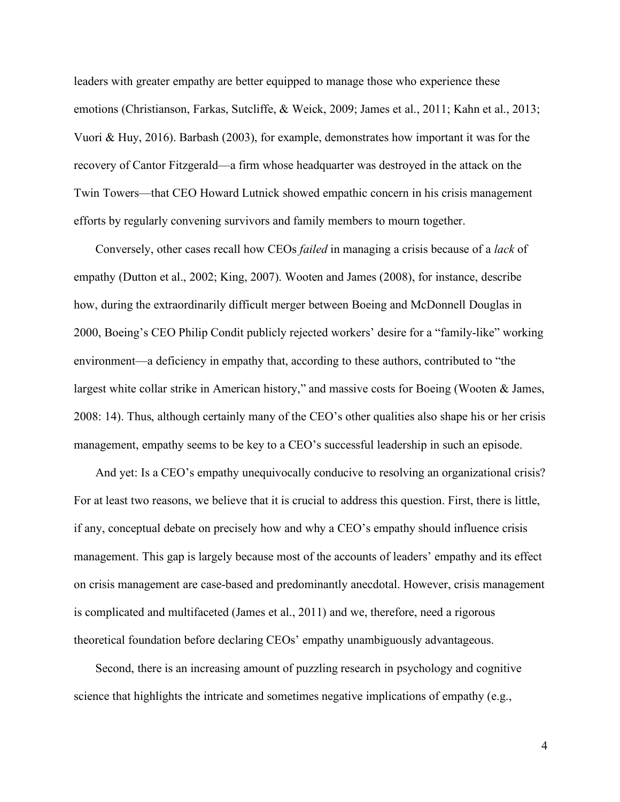leaders with greater empathy are better equipped to manage those who experience these emotions (Christianson, Farkas, Sutcliffe, & Weick, 2009; James et al., 2011; Kahn et al., 2013; Vuori & Huy, 2016). Barbash (2003), for example, demonstrates how important it was for the recovery of Cantor Fitzgerald—a firm whose headquarter was destroyed in the attack on the Twin Towers—that CEO Howard Lutnick showed empathic concern in his crisis management efforts by regularly convening survivors and family members to mourn together.

Conversely, other cases recall how CEOs *failed* in managing a crisis because of a *lack* of empathy (Dutton et al., 2002; King, 2007). Wooten and James (2008), for instance, describe how, during the extraordinarily difficult merger between Boeing and McDonnell Douglas in 2000, Boeing's CEO Philip Condit publicly rejected workers' desire for a "family-like" working environment—a deficiency in empathy that, according to these authors, contributed to "the largest white collar strike in American history," and massive costs for Boeing (Wooten & James, 2008: 14). Thus, although certainly many of the CEO's other qualities also shape his or her crisis management, empathy seems to be key to a CEO's successful leadership in such an episode.

And yet: Is a CEO's empathy unequivocally conducive to resolving an organizational crisis? For at least two reasons, we believe that it is crucial to address this question. First, there is little, if any, conceptual debate on precisely how and why a CEO's empathy should influence crisis management. This gap is largely because most of the accounts of leaders' empathy and its effect on crisis management are case-based and predominantly anecdotal. However, crisis management is complicated and multifaceted (James et al., 2011) and we, therefore, need a rigorous theoretical foundation before declaring CEOs' empathy unambiguously advantageous.

Second, there is an increasing amount of puzzling research in psychology and cognitive science that highlights the intricate and sometimes negative implications of empathy (e.g.,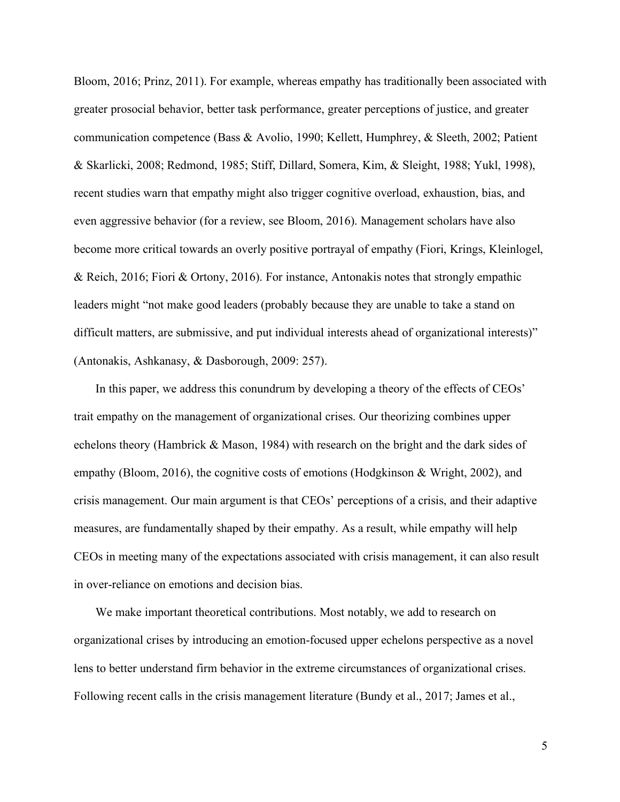Bloom, 2016; Prinz, 2011). For example, whereas empathy has traditionally been associated with greater prosocial behavior, better task performance, greater perceptions of justice, and greater communication competence (Bass & Avolio, 1990; Kellett, Humphrey, & Sleeth, 2002; Patient & Skarlicki, 2008; Redmond, 1985; Stiff, Dillard, Somera, Kim, & Sleight, 1988; Yukl, 1998), recent studies warn that empathy might also trigger cognitive overload, exhaustion, bias, and even aggressive behavior (for a review, see Bloom, 2016). Management scholars have also become more critical towards an overly positive portrayal of empathy (Fiori, Krings, Kleinlogel, & Reich, 2016; Fiori & Ortony, 2016). For instance, Antonakis notes that strongly empathic leaders might "not make good leaders (probably because they are unable to take a stand on difficult matters, are submissive, and put individual interests ahead of organizational interests)" (Antonakis, Ashkanasy, & Dasborough, 2009: 257).

In this paper, we address this conundrum by developing a theory of the effects of CEOs' trait empathy on the management of organizational crises. Our theorizing combines upper echelons theory (Hambrick & Mason, 1984) with research on the bright and the dark sides of empathy (Bloom, 2016), the cognitive costs of emotions (Hodgkinson & Wright, 2002), and crisis management. Our main argument is that CEOs' perceptions of a crisis, and their adaptive measures, are fundamentally shaped by their empathy. As a result, while empathy will help CEOs in meeting many of the expectations associated with crisis management, it can also result in over-reliance on emotions and decision bias.

We make important theoretical contributions. Most notably, we add to research on organizational crises by introducing an emotion-focused upper echelons perspective as a novel lens to better understand firm behavior in the extreme circumstances of organizational crises. Following recent calls in the crisis management literature (Bundy et al., 2017; James et al.,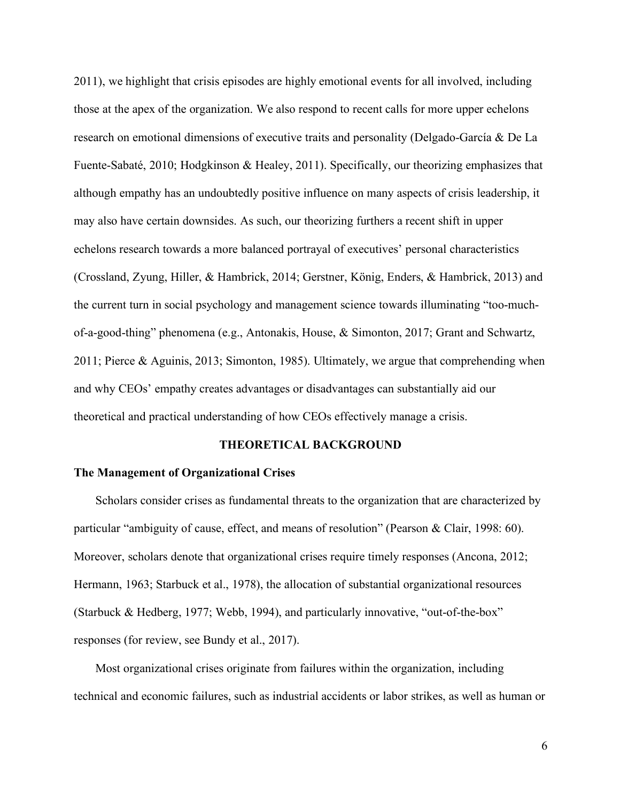2011), we highlight that crisis episodes are highly emotional events for all involved, including those at the apex of the organization. We also respond to recent calls for more upper echelons research on emotional dimensions of executive traits and personality (Delgado-García & De La Fuente-Sabaté, 2010; Hodgkinson & Healey, 2011). Specifically, our theorizing emphasizes that although empathy has an undoubtedly positive influence on many aspects of crisis leadership, it may also have certain downsides. As such, our theorizing furthers a recent shift in upper echelons research towards a more balanced portrayal of executives' personal characteristics (Crossland, Zyung, Hiller, & Hambrick, 2014; Gerstner, König, Enders, & Hambrick, 2013) and the current turn in social psychology and management science towards illuminating "too-muchof-a-good-thing" phenomena (e.g., Antonakis, House, & Simonton, 2017; Grant and Schwartz, 2011; Pierce & Aguinis, 2013; Simonton, 1985). Ultimately, we argue that comprehending when and why CEOs' empathy creates advantages or disadvantages can substantially aid our theoretical and practical understanding of how CEOs effectively manage a crisis.

### **THEORETICAL BACKGROUND**

# **The Management of Organizational Crises**

Scholars consider crises as fundamental threats to the organization that are characterized by particular "ambiguity of cause, effect, and means of resolution" (Pearson & Clair, 1998: 60). Moreover, scholars denote that organizational crises require timely responses (Ancona, 2012; Hermann, 1963; Starbuck et al., 1978), the allocation of substantial organizational resources (Starbuck & Hedberg, 1977; Webb, 1994), and particularly innovative, "out-of-the-box" responses (for review, see Bundy et al., 2017).

Most organizational crises originate from failures within the organization, including technical and economic failures, such as industrial accidents or labor strikes, as well as human or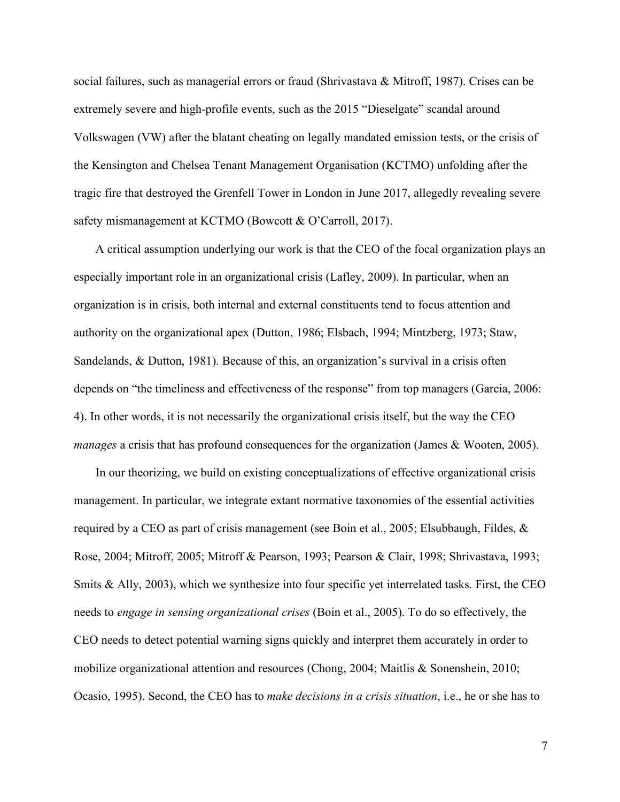social failures, such as managerial errors or fraud (Shrivastava & Mitroff, 1987). Crises can be extremely severe and high-profile events, such as the 2015 "Dieselgate" scandal around Volkswagen (VW) after the blatant cheating on legally mandated emission tests, or the crisis of the Kensington and Chelsea Tenant Management Organisation (KCTMO) unfolding after the tragic fire that destroyed the Grenfell Tower in London in June 2017, allegedly revealing severe safety mismanagement at KCTMO (Bowcott & O'Carroll, 2017).

A critical assumption underlying our work is that the CEO of the focal organization plays an especially important role in an organizational crisis (Lafley, 2009). In particular, when an organization is in crisis, both internal and external constituents tend to focus attention and authority on the organizational apex (Dutton, 1986; Elsbach, 1994; Mintzberg, 1973; Staw, Sandelands, & Dutton, 1981). Because of this, an organization's survival in a crisis often depends on "the timeliness and effectiveness of the response" from top managers (Garcia, 2006: 4). In other words, it is not necessarily the organizational crisis itself, but the way the CEO *manages* a crisis that has profound consequences for the organization (James & Wooten, 2005).

In our theorizing, we build on existing conceptualizations of effective organizational crisis management. In particular, we integrate extant normative taxonomies of the essential activities required by a CEO as part of crisis management (see Boin et al., 2005; Elsubbaugh, Fildes, & Rose, 2004; Mitroff, 2005; Mitroff & Pearson, 1993; Pearson & Clair, 1998; Shrivastava, 1993; Smits & Ally, 2003), which we synthesize into four specific yet interrelated tasks. First, the CEO needs to *engage in sensing organizational crises* (Boin et al., 2005). To do so effectively, the CEO needs to detect potential warning signs quickly and interpret them accurately in order to mobilize organizational attention and resources (Chong, 2004; Maitlis & Sonenshein, 2010; Ocasio, 1995). Second, the CEO has to *make decisions in a crisis situation*, i.e., he or she has to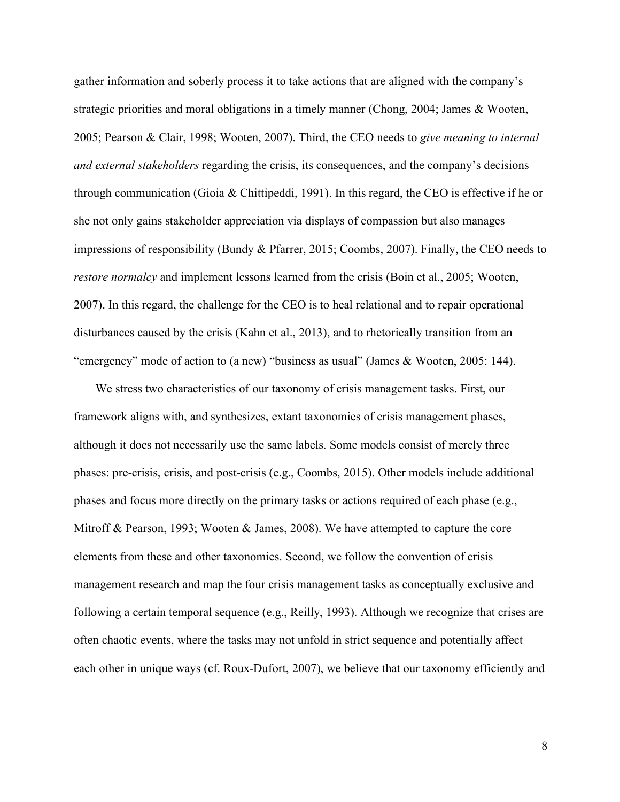gather information and soberly process it to take actions that are aligned with the company's strategic priorities and moral obligations in a timely manner (Chong, 2004; James & Wooten, 2005; Pearson & Clair, 1998; Wooten, 2007). Third, the CEO needs to *give meaning to internal and external stakeholders* regarding the crisis, its consequences, and the company's decisions through communication (Gioia & Chittipeddi, 1991). In this regard, the CEO is effective if he or she not only gains stakeholder appreciation via displays of compassion but also manages impressions of responsibility (Bundy & Pfarrer, 2015; Coombs, 2007). Finally, the CEO needs to *restore normalcy* and implement lessons learned from the crisis (Boin et al., 2005; Wooten, 2007). In this regard, the challenge for the CEO is to heal relational and to repair operational disturbances caused by the crisis (Kahn et al., 2013), and to rhetorically transition from an "emergency" mode of action to (a new) "business as usual" (James & Wooten, 2005: 144).

We stress two characteristics of our taxonomy of crisis management tasks. First, our framework aligns with, and synthesizes, extant taxonomies of crisis management phases, although it does not necessarily use the same labels. Some models consist of merely three phases: pre-crisis, crisis, and post-crisis (e.g., Coombs, 2015). Other models include additional phases and focus more directly on the primary tasks or actions required of each phase (e.g., Mitroff & Pearson, 1993; Wooten & James, 2008). We have attempted to capture the core elements from these and other taxonomies. Second, we follow the convention of crisis management research and map the four crisis management tasks as conceptually exclusive and following a certain temporal sequence (e.g., Reilly, 1993). Although we recognize that crises are often chaotic events, where the tasks may not unfold in strict sequence and potentially affect each other in unique ways (cf. Roux-Dufort, 2007), we believe that our taxonomy efficiently and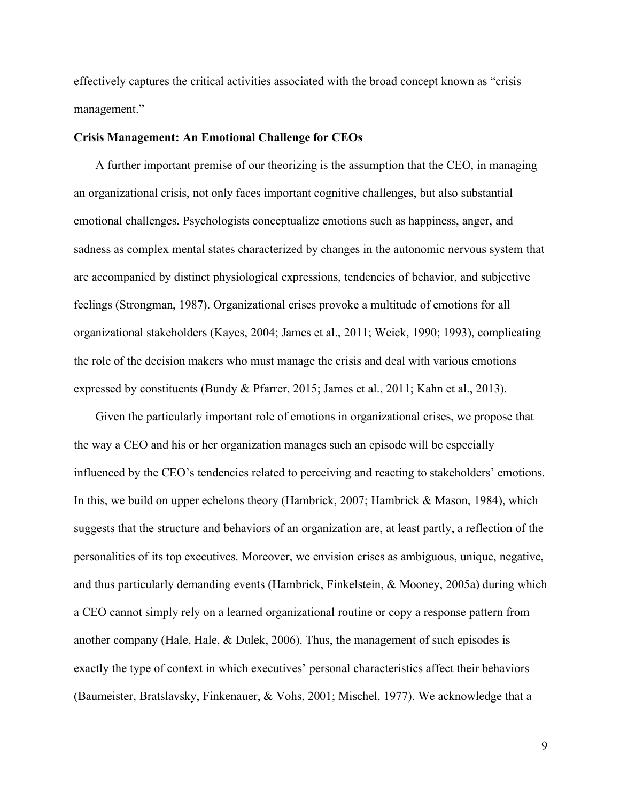effectively captures the critical activities associated with the broad concept known as "crisis management."

#### **Crisis Management: An Emotional Challenge for CEOs**

A further important premise of our theorizing is the assumption that the CEO, in managing an organizational crisis, not only faces important cognitive challenges, but also substantial emotional challenges. Psychologists conceptualize emotions such as happiness, anger, and sadness as complex mental states characterized by changes in the autonomic nervous system that are accompanied by distinct physiological expressions, tendencies of behavior, and subjective feelings (Strongman, 1987). Organizational crises provoke a multitude of emotions for all organizational stakeholders (Kayes, 2004; James et al., 2011; Weick, 1990; 1993), complicating the role of the decision makers who must manage the crisis and deal with various emotions expressed by constituents (Bundy & Pfarrer, 2015; James et al., 2011; Kahn et al., 2013).

Given the particularly important role of emotions in organizational crises, we propose that the way a CEO and his or her organization manages such an episode will be especially influenced by the CEO's tendencies related to perceiving and reacting to stakeholders' emotions. In this, we build on upper echelons theory (Hambrick, 2007; Hambrick & Mason, 1984), which suggests that the structure and behaviors of an organization are, at least partly, a reflection of the personalities of its top executives. Moreover, we envision crises as ambiguous, unique, negative, and thus particularly demanding events (Hambrick, Finkelstein, & Mooney, 2005a) during which a CEO cannot simply rely on a learned organizational routine or copy a response pattern from another company (Hale, Hale, & Dulek, 2006). Thus, the management of such episodes is exactly the type of context in which executives' personal characteristics affect their behaviors (Baumeister, Bratslavsky, Finkenauer, & Vohs, 2001; Mischel, 1977). We acknowledge that a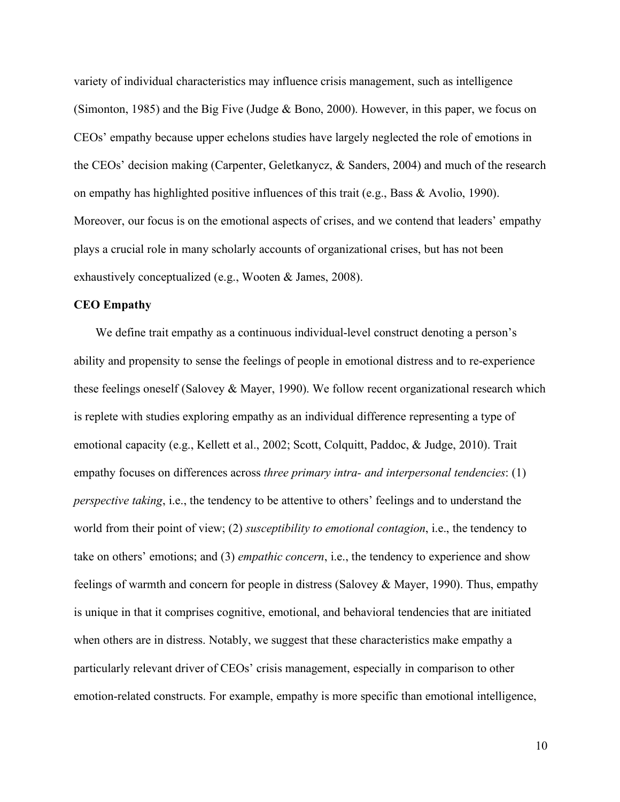variety of individual characteristics may influence crisis management, such as intelligence (Simonton, 1985) and the Big Five (Judge & Bono, 2000). However, in this paper, we focus on CEOs' empathy because upper echelons studies have largely neglected the role of emotions in the CEOs' decision making (Carpenter, Geletkanycz, & Sanders, 2004) and much of the research on empathy has highlighted positive influences of this trait (e.g., Bass  $\&$  Avolio, 1990). Moreover, our focus is on the emotional aspects of crises, and we contend that leaders' empathy plays a crucial role in many scholarly accounts of organizational crises, but has not been exhaustively conceptualized (e.g., Wooten & James, 2008).

# **CEO Empathy**

We define trait empathy as a continuous individual-level construct denoting a person's ability and propensity to sense the feelings of people in emotional distress and to re-experience these feelings oneself (Salovey & Mayer, 1990). We follow recent organizational research which is replete with studies exploring empathy as an individual difference representing a type of emotional capacity (e.g., Kellett et al., 2002; Scott, Colquitt, Paddoc, & Judge, 2010). Trait empathy focuses on differences across *three primary intra- and interpersonal tendencies*: (1) *perspective taking*, i.e., the tendency to be attentive to others' feelings and to understand the world from their point of view; (2) *susceptibility to emotional contagion*, i.e., the tendency to take on others' emotions; and (3) *empathic concern*, i.e., the tendency to experience and show feelings of warmth and concern for people in distress (Salovey & Mayer, 1990). Thus, empathy is unique in that it comprises cognitive, emotional, and behavioral tendencies that are initiated when others are in distress. Notably, we suggest that these characteristics make empathy a particularly relevant driver of CEOs' crisis management, especially in comparison to other emotion-related constructs. For example, empathy is more specific than emotional intelligence,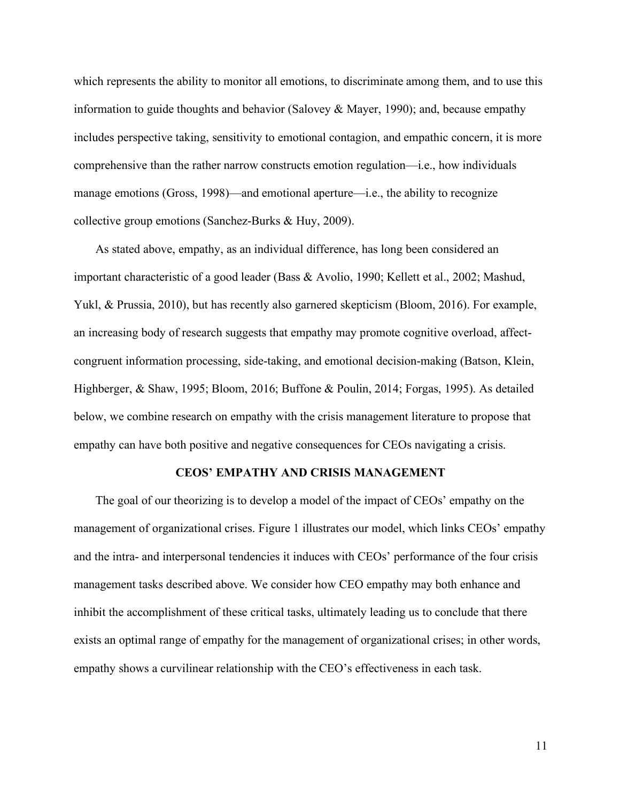which represents the ability to monitor all emotions, to discriminate among them, and to use this information to guide thoughts and behavior (Salovey & Mayer, 1990); and, because empathy includes perspective taking, sensitivity to emotional contagion, and empathic concern, it is more comprehensive than the rather narrow constructs emotion regulation—i.e., how individuals manage emotions (Gross, 1998)—and emotional aperture—i.e., the ability to recognize collective group emotions (Sanchez-Burks & Huy, 2009).

As stated above, empathy, as an individual difference, has long been considered an important characteristic of a good leader (Bass & Avolio, 1990; Kellett et al., 2002; Mashud, Yukl, & Prussia, 2010), but has recently also garnered skepticism (Bloom, 2016). For example, an increasing body of research suggests that empathy may promote cognitive overload, affectcongruent information processing, side-taking, and emotional decision-making (Batson, Klein, Highberger, & Shaw, 1995; Bloom, 2016; Buffone & Poulin, 2014; Forgas, 1995). As detailed below, we combine research on empathy with the crisis management literature to propose that empathy can have both positive and negative consequences for CEOs navigating a crisis.

#### **CEOS' EMPATHY AND CRISIS MANAGEMENT**

The goal of our theorizing is to develop a model of the impact of CEOs' empathy on the management of organizational crises. Figure 1 illustrates our model, which links CEOs' empathy and the intra- and interpersonal tendencies it induces with CEOs' performance of the four crisis management tasks described above. We consider how CEO empathy may both enhance and inhibit the accomplishment of these critical tasks, ultimately leading us to conclude that there exists an optimal range of empathy for the management of organizational crises; in other words, empathy shows a curvilinear relationship with the CEO's effectiveness in each task.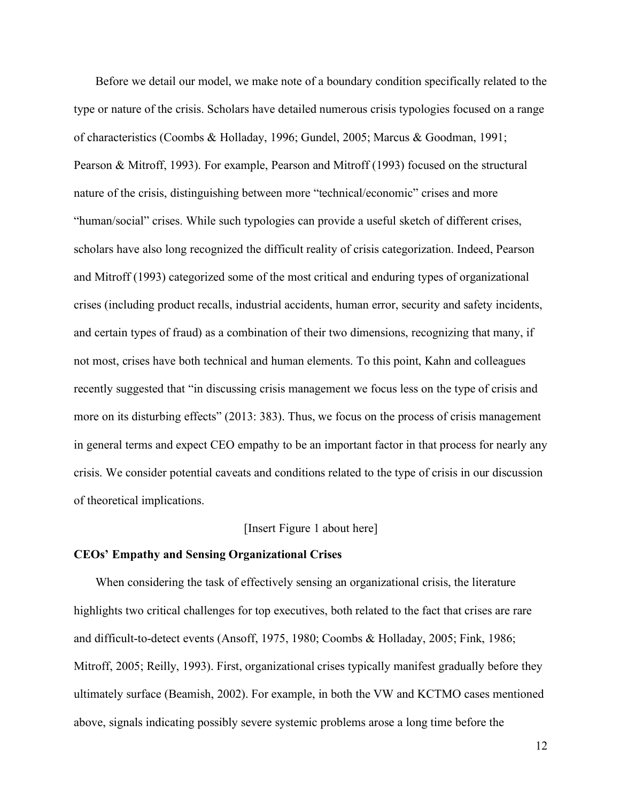Before we detail our model, we make note of a boundary condition specifically related to the type or nature of the crisis. Scholars have detailed numerous crisis typologies focused on a range of characteristics (Coombs & Holladay, 1996; Gundel, 2005; Marcus & Goodman, 1991; Pearson & Mitroff, 1993). For example, Pearson and Mitroff (1993) focused on the structural nature of the crisis, distinguishing between more "technical/economic" crises and more "human/social" crises. While such typologies can provide a useful sketch of different crises, scholars have also long recognized the difficult reality of crisis categorization. Indeed, Pearson and Mitroff (1993) categorized some of the most critical and enduring types of organizational crises (including product recalls, industrial accidents, human error, security and safety incidents, and certain types of fraud) as a combination of their two dimensions, recognizing that many, if not most, crises have both technical and human elements. To this point, Kahn and colleagues recently suggested that "in discussing crisis management we focus less on the type of crisis and more on its disturbing effects" (2013: 383). Thus, we focus on the process of crisis management in general terms and expect CEO empathy to be an important factor in that process for nearly any crisis. We consider potential caveats and conditions related to the type of crisis in our discussion of theoretical implications.

# [Insert Figure 1 about here]

### **CEOs' Empathy and Sensing Organizational Crises**

When considering the task of effectively sensing an organizational crisis, the literature highlights two critical challenges for top executives, both related to the fact that crises are rare and difficult-to-detect events (Ansoff, 1975, 1980; Coombs & Holladay, 2005; Fink, 1986; Mitroff, 2005; Reilly, 1993). First, organizational crises typically manifest gradually before they ultimately surface (Beamish, 2002). For example, in both the VW and KCTMO cases mentioned above, signals indicating possibly severe systemic problems arose a long time before the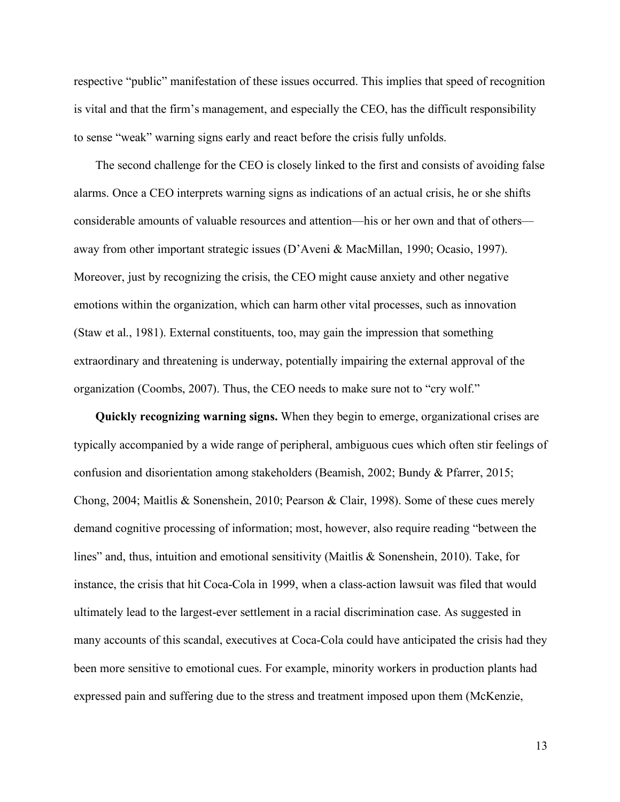respective "public" manifestation of these issues occurred. This implies that speed of recognition is vital and that the firm's management, and especially the CEO, has the difficult responsibility to sense "weak" warning signs early and react before the crisis fully unfolds.

The second challenge for the CEO is closely linked to the first and consists of avoiding false alarms. Once a CEO interprets warning signs as indications of an actual crisis, he or she shifts considerable amounts of valuable resources and attention—his or her own and that of others away from other important strategic issues (D'Aveni & MacMillan, 1990; Ocasio, 1997). Moreover, just by recognizing the crisis, the CEO might cause anxiety and other negative emotions within the organization, which can harm other vital processes, such as innovation (Staw et al., 1981). External constituents, too, may gain the impression that something extraordinary and threatening is underway, potentially impairing the external approval of the organization (Coombs, 2007). Thus, the CEO needs to make sure not to "cry wolf."

**Quickly recognizing warning signs.** When they begin to emerge, organizational crises are typically accompanied by a wide range of peripheral, ambiguous cues which often stir feelings of confusion and disorientation among stakeholders (Beamish, 2002; Bundy & Pfarrer, 2015; Chong, 2004; Maitlis & Sonenshein, 2010; Pearson & Clair, 1998). Some of these cues merely demand cognitive processing of information; most, however, also require reading "between the lines" and, thus, intuition and emotional sensitivity (Maitlis & Sonenshein, 2010). Take, for instance, the crisis that hit Coca-Cola in 1999, when a class-action lawsuit was filed that would ultimately lead to the largest-ever settlement in a racial discrimination case. As suggested in many accounts of this scandal, executives at Coca-Cola could have anticipated the crisis had they been more sensitive to emotional cues. For example, minority workers in production plants had expressed pain and suffering due to the stress and treatment imposed upon them (McKenzie,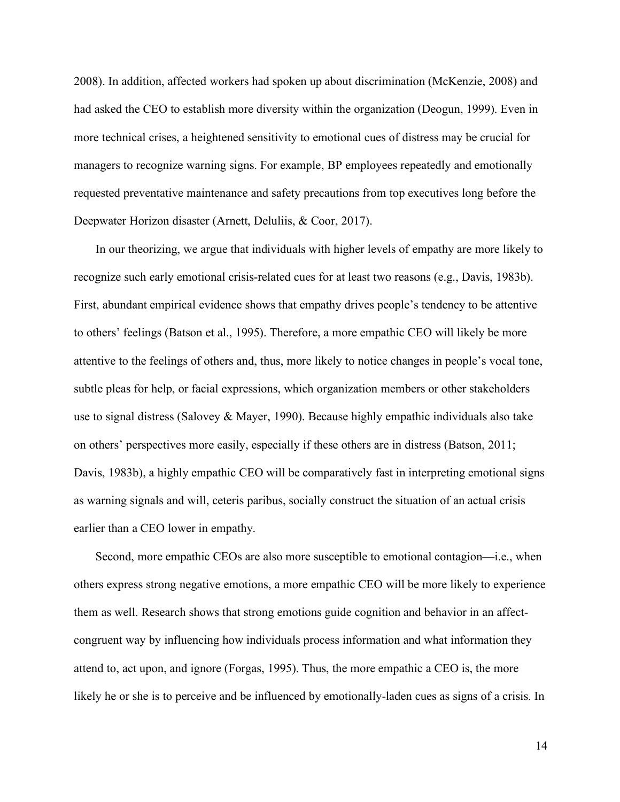2008). In addition, affected workers had spoken up about discrimination (McKenzie, 2008) and had asked the CEO to establish more diversity within the organization (Deogun, 1999). Even in more technical crises, a heightened sensitivity to emotional cues of distress may be crucial for managers to recognize warning signs. For example, BP employees repeatedly and emotionally requested preventative maintenance and safety precautions from top executives long before the Deepwater Horizon disaster (Arnett, Deluliis, & Coor, 2017).

In our theorizing, we argue that individuals with higher levels of empathy are more likely to recognize such early emotional crisis-related cues for at least two reasons (e.g., Davis, 1983b). First, abundant empirical evidence shows that empathy drives people's tendency to be attentive to others' feelings (Batson et al., 1995). Therefore, a more empathic CEO will likely be more attentive to the feelings of others and, thus, more likely to notice changes in people's vocal tone, subtle pleas for help, or facial expressions, which organization members or other stakeholders use to signal distress (Salovey & Mayer, 1990). Because highly empathic individuals also take on others' perspectives more easily, especially if these others are in distress (Batson, 2011; Davis, 1983b), a highly empathic CEO will be comparatively fast in interpreting emotional signs as warning signals and will, ceteris paribus, socially construct the situation of an actual crisis earlier than a CEO lower in empathy.

Second, more empathic CEOs are also more susceptible to emotional contagion—i.e., when others express strong negative emotions, a more empathic CEO will be more likely to experience them as well. Research shows that strong emotions guide cognition and behavior in an affectcongruent way by influencing how individuals process information and what information they attend to, act upon, and ignore (Forgas, 1995). Thus, the more empathic a CEO is, the more likely he or she is to perceive and be influenced by emotionally-laden cues as signs of a crisis. In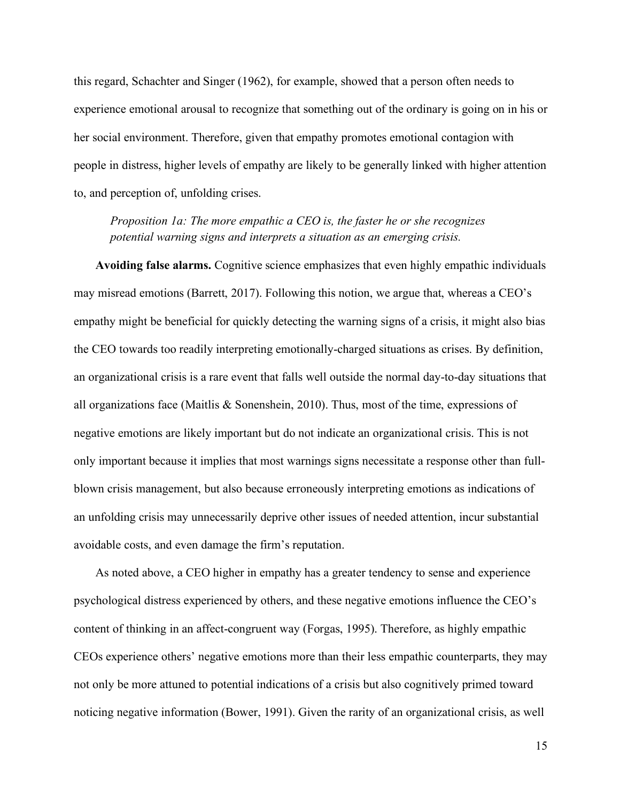this regard, Schachter and Singer (1962), for example, showed that a person often needs to experience emotional arousal to recognize that something out of the ordinary is going on in his or her social environment. Therefore, given that empathy promotes emotional contagion with people in distress, higher levels of empathy are likely to be generally linked with higher attention to, and perception of, unfolding crises.

*Proposition 1a: The more empathic a CEO is, the faster he or she recognizes potential warning signs and interprets a situation as an emerging crisis.*

**Avoiding false alarms.** Cognitive science emphasizes that even highly empathic individuals may misread emotions (Barrett, 2017). Following this notion, we argue that, whereas a CEO's empathy might be beneficial for quickly detecting the warning signs of a crisis, it might also bias the CEO towards too readily interpreting emotionally-charged situations as crises. By definition, an organizational crisis is a rare event that falls well outside the normal day-to-day situations that all organizations face (Maitlis & Sonenshein, 2010). Thus, most of the time, expressions of negative emotions are likely important but do not indicate an organizational crisis. This is not only important because it implies that most warnings signs necessitate a response other than fullblown crisis management, but also because erroneously interpreting emotions as indications of an unfolding crisis may unnecessarily deprive other issues of needed attention, incur substantial avoidable costs, and even damage the firm's reputation.

As noted above, a CEO higher in empathy has a greater tendency to sense and experience psychological distress experienced by others, and these negative emotions influence the CEO's content of thinking in an affect-congruent way (Forgas, 1995). Therefore, as highly empathic CEOs experience others' negative emotions more than their less empathic counterparts, they may not only be more attuned to potential indications of a crisis but also cognitively primed toward noticing negative information (Bower, 1991). Given the rarity of an organizational crisis, as well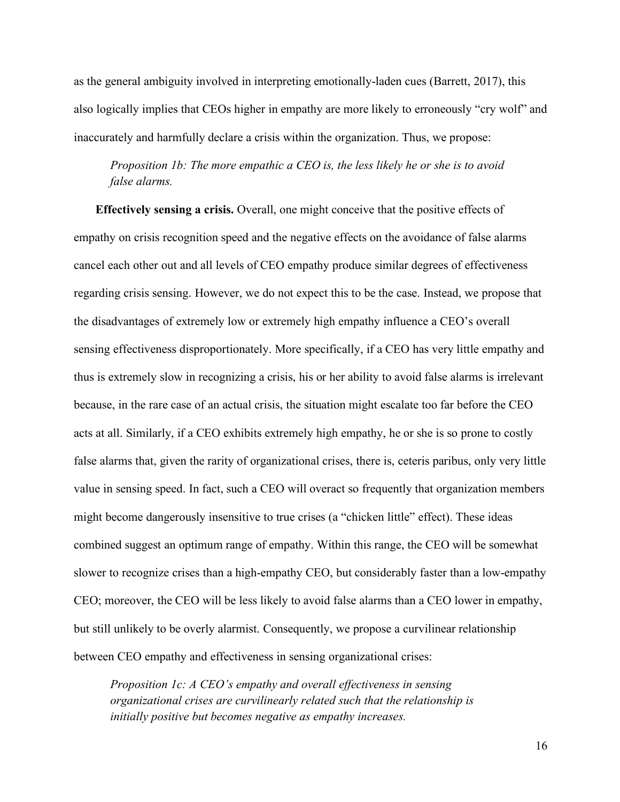as the general ambiguity involved in interpreting emotionally-laden cues (Barrett, 2017), this also logically implies that CEOs higher in empathy are more likely to erroneously "cry wolf" and inaccurately and harmfully declare a crisis within the organization. Thus, we propose:

*Proposition 1b: The more empathic a CEO is, the less likely he or she is to avoid false alarms.*

**Effectively sensing a crisis.** Overall, one might conceive that the positive effects of empathy on crisis recognition speed and the negative effects on the avoidance of false alarms cancel each other out and all levels of CEO empathy produce similar degrees of effectiveness regarding crisis sensing. However, we do not expect this to be the case. Instead, we propose that the disadvantages of extremely low or extremely high empathy influence a CEO's overall sensing effectiveness disproportionately. More specifically, if a CEO has very little empathy and thus is extremely slow in recognizing a crisis, his or her ability to avoid false alarms is irrelevant because, in the rare case of an actual crisis, the situation might escalate too far before the CEO acts at all. Similarly, if a CEO exhibits extremely high empathy, he or she is so prone to costly false alarms that, given the rarity of organizational crises, there is, ceteris paribus, only very little value in sensing speed. In fact, such a CEO will overact so frequently that organization members might become dangerously insensitive to true crises (a "chicken little" effect). These ideas combined suggest an optimum range of empathy. Within this range, the CEO will be somewhat slower to recognize crises than a high-empathy CEO, but considerably faster than a low-empathy CEO; moreover, the CEO will be less likely to avoid false alarms than a CEO lower in empathy, but still unlikely to be overly alarmist. Consequently, we propose a curvilinear relationship between CEO empathy and effectiveness in sensing organizational crises:

*Proposition 1c: A CEO's empathy and overall effectiveness in sensing organizational crises are curvilinearly related such that the relationship is initially positive but becomes negative as empathy increases.*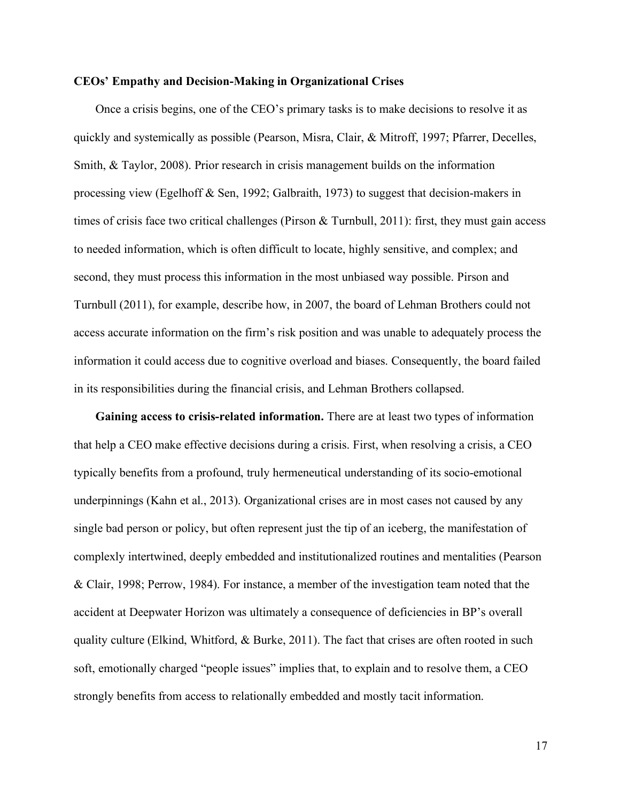#### **CEOs' Empathy and Decision-Making in Organizational Crises**

Once a crisis begins, one of the CEO's primary tasks is to make decisions to resolve it as quickly and systemically as possible (Pearson, Misra, Clair, & Mitroff, 1997; Pfarrer, Decelles, Smith, & Taylor, 2008). Prior research in crisis management builds on the information processing view (Egelhoff & Sen, 1992; Galbraith, 1973) to suggest that decision-makers in times of crisis face two critical challenges (Pirson & Turnbull, 2011): first, they must gain access to needed information, which is often difficult to locate, highly sensitive, and complex; and second, they must process this information in the most unbiased way possible. Pirson and Turnbull (2011), for example, describe how, in 2007, the board of Lehman Brothers could not access accurate information on the firm's risk position and was unable to adequately process the information it could access due to cognitive overload and biases. Consequently, the board failed in its responsibilities during the financial crisis, and Lehman Brothers collapsed.

**Gaining access to crisis-related information.** There are at least two types of information that help a CEO make effective decisions during a crisis. First, when resolving a crisis, a CEO typically benefits from a profound, truly hermeneutical understanding of its socio-emotional underpinnings (Kahn et al., 2013). Organizational crises are in most cases not caused by any single bad person or policy, but often represent just the tip of an iceberg, the manifestation of complexly intertwined, deeply embedded and institutionalized routines and mentalities (Pearson & Clair, 1998; Perrow, 1984). For instance, a member of the investigation team noted that the accident at Deepwater Horizon was ultimately a consequence of deficiencies in BP's overall quality culture (Elkind, Whitford, & Burke, 2011). The fact that crises are often rooted in such soft, emotionally charged "people issues" implies that, to explain and to resolve them, a CEO strongly benefits from access to relationally embedded and mostly tacit information.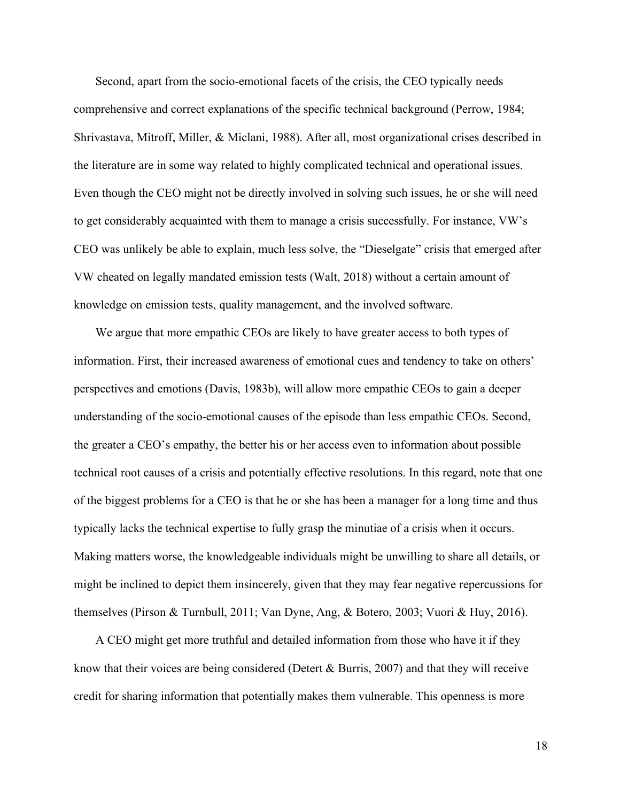Second, apart from the socio-emotional facets of the crisis, the CEO typically needs comprehensive and correct explanations of the specific technical background (Perrow, 1984; Shrivastava, Mitroff, Miller, & Miclani, 1988). After all, most organizational crises described in the literature are in some way related to highly complicated technical and operational issues. Even though the CEO might not be directly involved in solving such issues, he or she will need to get considerably acquainted with them to manage a crisis successfully. For instance, VW's CEO was unlikely be able to explain, much less solve, the "Dieselgate" crisis that emerged after VW cheated on legally mandated emission tests (Walt, 2018) without a certain amount of knowledge on emission tests, quality management, and the involved software.

We argue that more empathic CEOs are likely to have greater access to both types of information. First, their increased awareness of emotional cues and tendency to take on others' perspectives and emotions (Davis, 1983b), will allow more empathic CEOs to gain a deeper understanding of the socio-emotional causes of the episode than less empathic CEOs. Second, the greater a CEO's empathy, the better his or her access even to information about possible technical root causes of a crisis and potentially effective resolutions. In this regard, note that one of the biggest problems for a CEO is that he or she has been a manager for a long time and thus typically lacks the technical expertise to fully grasp the minutiae of a crisis when it occurs. Making matters worse, the knowledgeable individuals might be unwilling to share all details, or might be inclined to depict them insincerely, given that they may fear negative repercussions for themselves (Pirson & Turnbull, 2011; Van Dyne, Ang, & Botero, 2003; Vuori & Huy, 2016).

A CEO might get more truthful and detailed information from those who have it if they know that their voices are being considered (Detert & Burris, 2007) and that they will receive credit for sharing information that potentially makes them vulnerable. This openness is more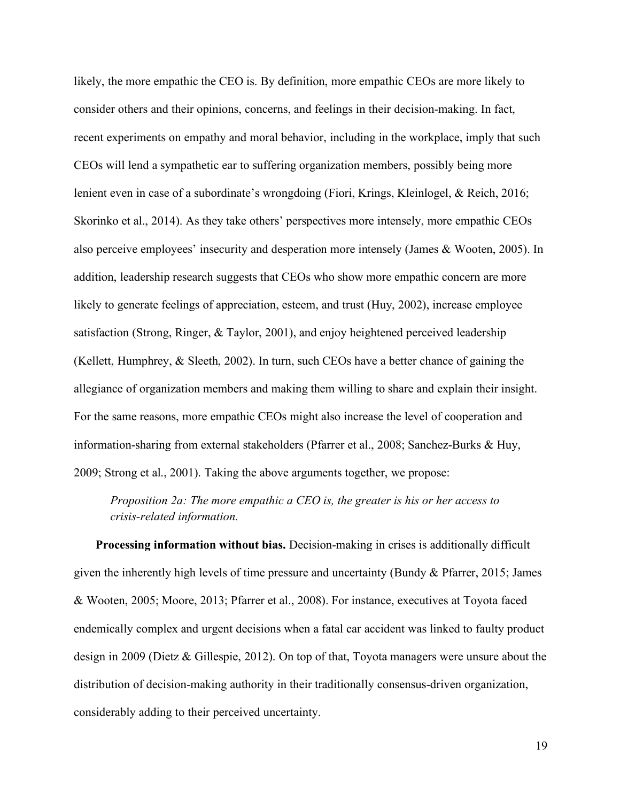likely, the more empathic the CEO is. By definition, more empathic CEOs are more likely to consider others and their opinions, concerns, and feelings in their decision-making. In fact, recent experiments on empathy and moral behavior, including in the workplace, imply that such CEOs will lend a sympathetic ear to suffering organization members, possibly being more lenient even in case of a subordinate's wrongdoing (Fiori, Krings, Kleinlogel, & Reich, 2016; Skorinko et al., 2014). As they take others' perspectives more intensely, more empathic CEOs also perceive employees' insecurity and desperation more intensely (James & Wooten, 2005). In addition, leadership research suggests that CEOs who show more empathic concern are more likely to generate feelings of appreciation, esteem, and trust (Huy, 2002), increase employee satisfaction (Strong, Ringer, & Taylor, 2001), and enjoy heightened perceived leadership (Kellett, Humphrey, & Sleeth, 2002). In turn, such CEOs have a better chance of gaining the allegiance of organization members and making them willing to share and explain their insight. For the same reasons, more empathic CEOs might also increase the level of cooperation and information-sharing from external stakeholders (Pfarrer et al., 2008; Sanchez-Burks & Huy, 2009; Strong et al., 2001). Taking the above arguments together, we propose:

*Proposition 2a: The more empathic a CEO is, the greater is his or her access to crisis-related information.*

**Processing information without bias.** Decision-making in crises is additionally difficult given the inherently high levels of time pressure and uncertainty (Bundy & Pfarrer, 2015; James & Wooten, 2005; Moore, 2013; Pfarrer et al., 2008). For instance, executives at Toyota faced endemically complex and urgent decisions when a fatal car accident was linked to faulty product design in 2009 (Dietz & Gillespie, 2012). On top of that, Toyota managers were unsure about the distribution of decision-making authority in their traditionally consensus-driven organization, considerably adding to their perceived uncertainty.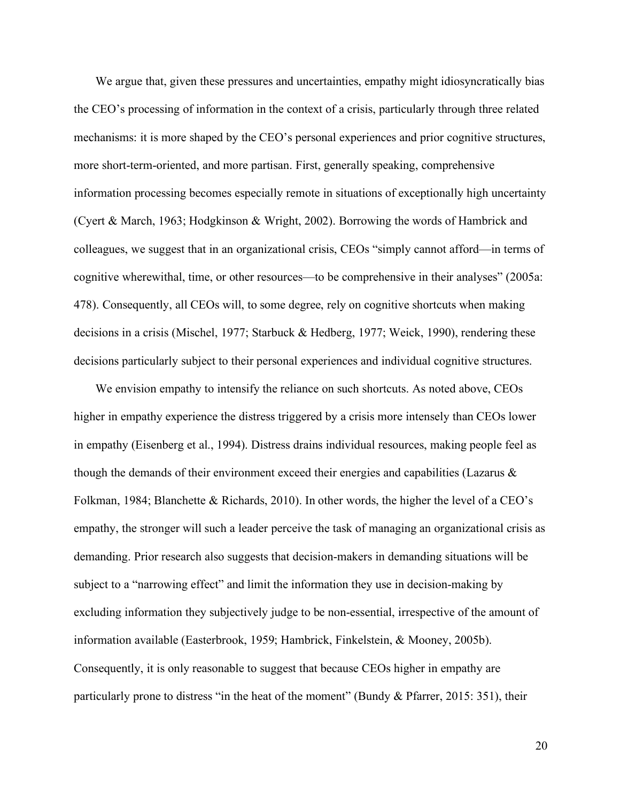We argue that, given these pressures and uncertainties, empathy might idiosyncratically bias the CEO's processing of information in the context of a crisis, particularly through three related mechanisms: it is more shaped by the CEO's personal experiences and prior cognitive structures, more short-term-oriented, and more partisan. First, generally speaking, comprehensive information processing becomes especially remote in situations of exceptionally high uncertainty (Cyert & March, 1963; Hodgkinson & Wright, 2002). Borrowing the words of Hambrick and colleagues, we suggest that in an organizational crisis, CEOs "simply cannot afford—in terms of cognitive wherewithal, time, or other resources—to be comprehensive in their analyses" (2005a: 478). Consequently, all CEOs will, to some degree, rely on cognitive shortcuts when making decisions in a crisis (Mischel, 1977; Starbuck & Hedberg, 1977; Weick, 1990), rendering these decisions particularly subject to their personal experiences and individual cognitive structures.

We envision empathy to intensify the reliance on such shortcuts. As noted above, CEOs higher in empathy experience the distress triggered by a crisis more intensely than CEOs lower in empathy (Eisenberg et al., 1994). Distress drains individual resources, making people feel as though the demands of their environment exceed their energies and capabilities (Lazarus & Folkman, 1984; Blanchette & Richards, 2010). In other words, the higher the level of a CEO's empathy, the stronger will such a leader perceive the task of managing an organizational crisis as demanding. Prior research also suggests that decision-makers in demanding situations will be subject to a "narrowing effect" and limit the information they use in decision-making by excluding information they subjectively judge to be non-essential, irrespective of the amount of information available (Easterbrook, 1959; Hambrick, Finkelstein, & Mooney, 2005b). Consequently, it is only reasonable to suggest that because CEOs higher in empathy are particularly prone to distress "in the heat of the moment" (Bundy & Pfarrer, 2015: 351), their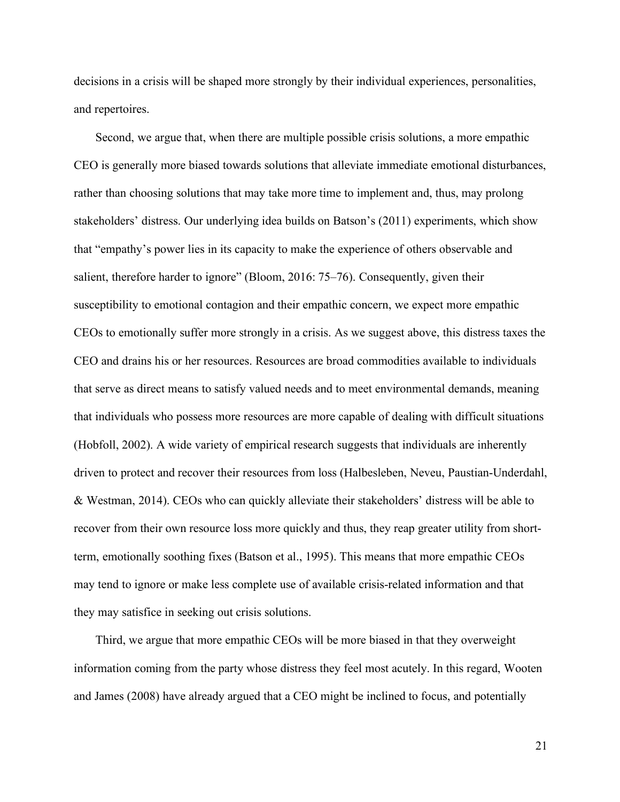decisions in a crisis will be shaped more strongly by their individual experiences, personalities, and repertoires.

Second, we argue that, when there are multiple possible crisis solutions, a more empathic CEO is generally more biased towards solutions that alleviate immediate emotional disturbances, rather than choosing solutions that may take more time to implement and, thus, may prolong stakeholders' distress. Our underlying idea builds on Batson's (2011) experiments, which show that "empathy's power lies in its capacity to make the experience of others observable and salient, therefore harder to ignore" (Bloom, 2016: 75–76). Consequently, given their susceptibility to emotional contagion and their empathic concern, we expect more empathic CEOs to emotionally suffer more strongly in a crisis. As we suggest above, this distress taxes the CEO and drains his or her resources. Resources are broad commodities available to individuals that serve as direct means to satisfy valued needs and to meet environmental demands, meaning that individuals who possess more resources are more capable of dealing with difficult situations (Hobfoll, 2002). A wide variety of empirical research suggests that individuals are inherently driven to protect and recover their resources from loss (Halbesleben, Neveu, Paustian-Underdahl, & Westman, 2014). CEOs who can quickly alleviate their stakeholders' distress will be able to recover from their own resource loss more quickly and thus, they reap greater utility from shortterm, emotionally soothing fixes (Batson et al., 1995). This means that more empathic CEOs may tend to ignore or make less complete use of available crisis-related information and that they may satisfice in seeking out crisis solutions.

Third, we argue that more empathic CEOs will be more biased in that they overweight information coming from the party whose distress they feel most acutely. In this regard, Wooten and James (2008) have already argued that a CEO might be inclined to focus, and potentially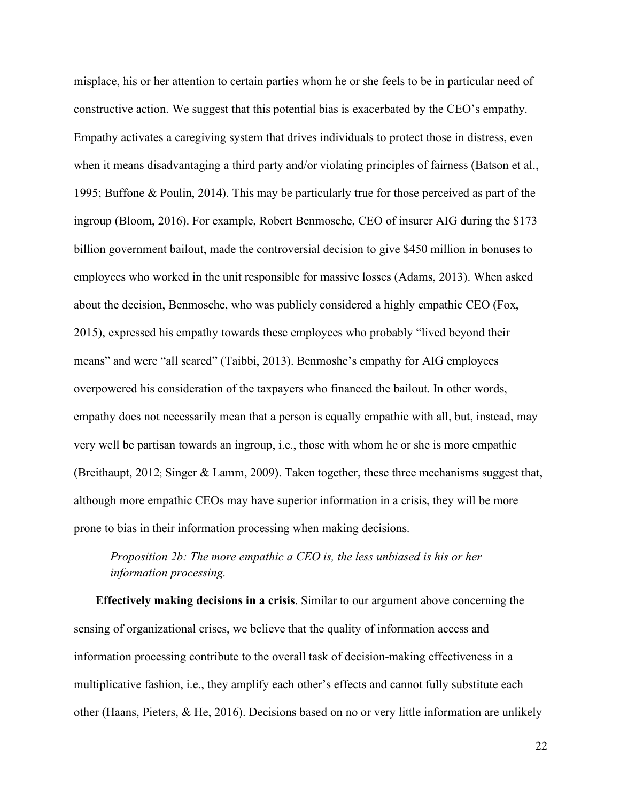misplace, his or her attention to certain parties whom he or she feels to be in particular need of constructive action. We suggest that this potential bias is exacerbated by the CEO's empathy. Empathy activates a caregiving system that drives individuals to protect those in distress, even when it means disadvantaging a third party and/or violating principles of fairness (Batson et al., 1995; Buffone & Poulin, 2014). This may be particularly true for those perceived as part of the ingroup (Bloom, 2016). For example, Robert Benmosche, CEO of insurer AIG during the \$173 billion government bailout, made the controversial decision to give \$450 million in bonuses to employees who worked in the unit responsible for massive losses (Adams, 2013). When asked about the decision, Benmosche, who was publicly considered a highly empathic CEO (Fox, 2015), expressed his empathy towards these employees who probably "lived beyond their means" and were "all scared" (Taibbi, 2013). Benmoshe's empathy for AIG employees overpowered his consideration of the taxpayers who financed the bailout. In other words, empathy does not necessarily mean that a person is equally empathic with all, but, instead, may very well be partisan towards an ingroup, i.e., those with whom he or she is more empathic (Breithaupt, 2012; Singer & Lamm, 2009). Taken together, these three mechanisms suggest that, although more empathic CEOs may have superior information in a crisis, they will be more prone to bias in their information processing when making decisions.

# *Proposition 2b: The more empathic a CEO is, the less unbiased is his or her information processing.*

**Effectively making decisions in a crisis**. Similar to our argument above concerning the sensing of organizational crises, we believe that the quality of information access and information processing contribute to the overall task of decision-making effectiveness in a multiplicative fashion, i.e., they amplify each other's effects and cannot fully substitute each other (Haans, Pieters, & He, 2016). Decisions based on no or very little information are unlikely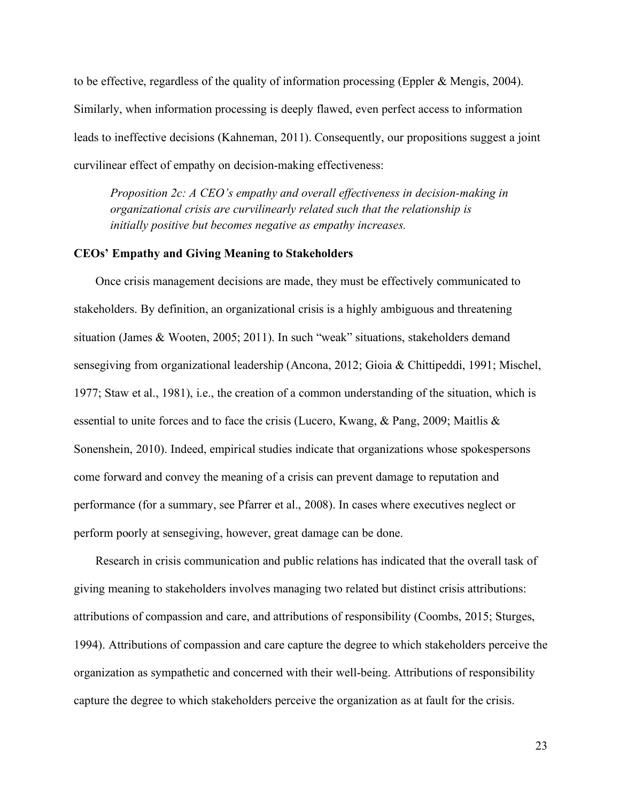to be effective, regardless of the quality of information processing (Eppler & Mengis, 2004). Similarly, when information processing is deeply flawed, even perfect access to information leads to ineffective decisions (Kahneman, 2011). Consequently, our propositions suggest a joint curvilinear effect of empathy on decision-making effectiveness:

*Proposition 2c: A CEO's empathy and overall effectiveness in decision-making in organizational crisis are curvilinearly related such that the relationship is initially positive but becomes negative as empathy increases.*

## **CEOs' Empathy and Giving Meaning to Stakeholders**

Once crisis management decisions are made, they must be effectively communicated to stakeholders. By definition, an organizational crisis is a highly ambiguous and threatening situation (James & Wooten, 2005; 2011). In such "weak" situations, stakeholders demand sensegiving from organizational leadership (Ancona, 2012; Gioia & Chittipeddi, 1991; Mischel, 1977; Staw et al., 1981), i.e., the creation of a common understanding of the situation, which is essential to unite forces and to face the crisis (Lucero, Kwang, & Pang, 2009; Maitlis & Sonenshein, 2010). Indeed, empirical studies indicate that organizations whose spokespersons come forward and convey the meaning of a crisis can prevent damage to reputation and performance (for a summary, see Pfarrer et al., 2008). In cases where executives neglect or perform poorly at sensegiving, however, great damage can be done.

Research in crisis communication and public relations has indicated that the overall task of giving meaning to stakeholders involves managing two related but distinct crisis attributions: attributions of compassion and care, and attributions of responsibility (Coombs, 2015; Sturges, 1994). Attributions of compassion and care capture the degree to which stakeholders perceive the organization as sympathetic and concerned with their well-being. Attributions of responsibility capture the degree to which stakeholders perceive the organization as at fault for the crisis.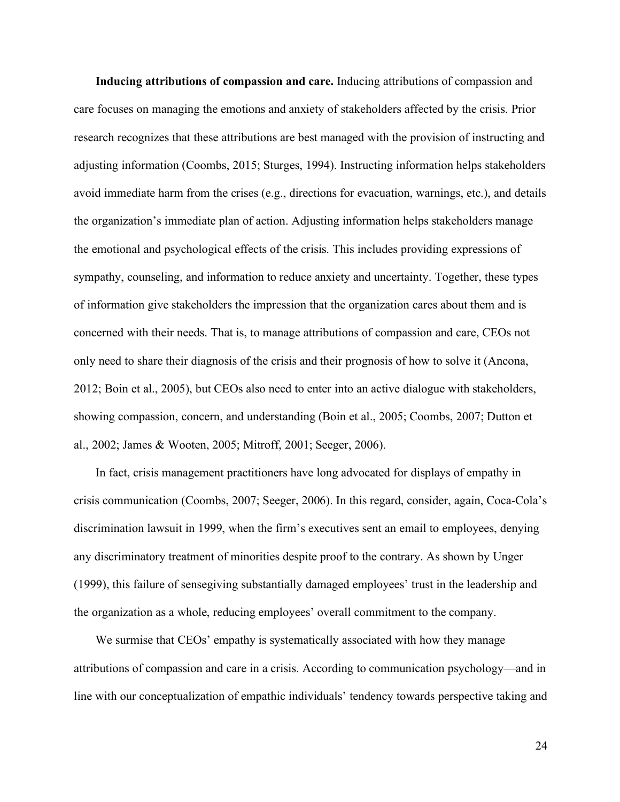**Inducing attributions of compassion and care.** Inducing attributions of compassion and care focuses on managing the emotions and anxiety of stakeholders affected by the crisis. Prior research recognizes that these attributions are best managed with the provision of instructing and adjusting information (Coombs, 2015; Sturges, 1994). Instructing information helps stakeholders avoid immediate harm from the crises (e.g., directions for evacuation, warnings, etc.), and details the organization's immediate plan of action. Adjusting information helps stakeholders manage the emotional and psychological effects of the crisis. This includes providing expressions of sympathy, counseling, and information to reduce anxiety and uncertainty. Together, these types of information give stakeholders the impression that the organization cares about them and is concerned with their needs. That is, to manage attributions of compassion and care, CEOs not only need to share their diagnosis of the crisis and their prognosis of how to solve it (Ancona, 2012; Boin et al., 2005), but CEOs also need to enter into an active dialogue with stakeholders, showing compassion, concern, and understanding (Boin et al., 2005; Coombs, 2007; Dutton et al., 2002; James & Wooten, 2005; Mitroff, 2001; Seeger, 2006).

In fact, crisis management practitioners have long advocated for displays of empathy in crisis communication (Coombs, 2007; Seeger, 2006). In this regard, consider, again, Coca-Cola's discrimination lawsuit in 1999, when the firm's executives sent an email to employees, denying any discriminatory treatment of minorities despite proof to the contrary. As shown by Unger (1999), this failure of sensegiving substantially damaged employees' trust in the leadership and the organization as a whole, reducing employees' overall commitment to the company.

We surmise that CEOs' empathy is systematically associated with how they manage attributions of compassion and care in a crisis. According to communication psychology—and in line with our conceptualization of empathic individuals' tendency towards perspective taking and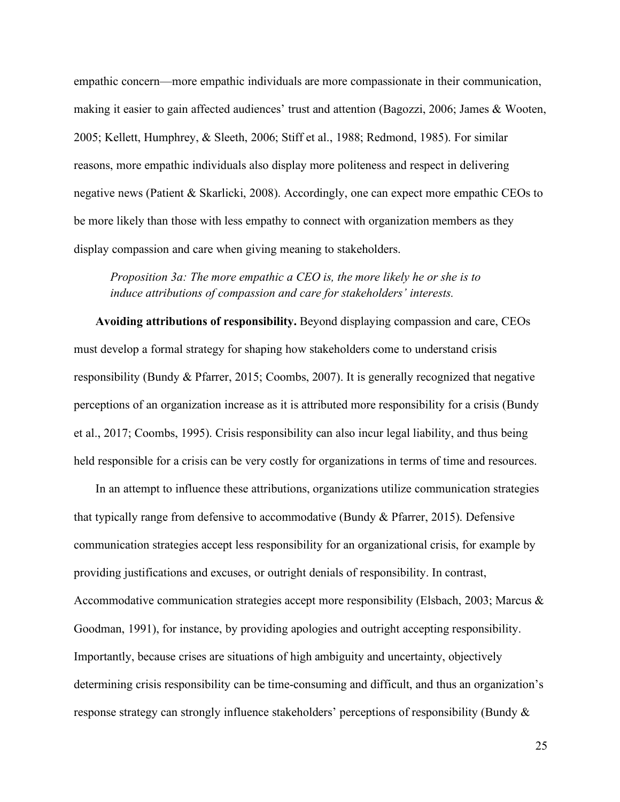empathic concern—more empathic individuals are more compassionate in their communication, making it easier to gain affected audiences' trust and attention (Bagozzi, 2006; James & Wooten, 2005; Kellett, Humphrey, & Sleeth, 2006; Stiff et al., 1988; Redmond, 1985). For similar reasons, more empathic individuals also display more politeness and respect in delivering negative news (Patient & Skarlicki, 2008). Accordingly, one can expect more empathic CEOs to be more likely than those with less empathy to connect with organization members as they display compassion and care when giving meaning to stakeholders.

*Proposition 3a: The more empathic a CEO is, the more likely he or she is to induce attributions of compassion and care for stakeholders' interests.*

**Avoiding attributions of responsibility.** Beyond displaying compassion and care, CEOs must develop a formal strategy for shaping how stakeholders come to understand crisis responsibility (Bundy & Pfarrer, 2015; Coombs, 2007). It is generally recognized that negative perceptions of an organization increase as it is attributed more responsibility for a crisis (Bundy et al., 2017; Coombs, 1995). Crisis responsibility can also incur legal liability, and thus being held responsible for a crisis can be very costly for organizations in terms of time and resources.

In an attempt to influence these attributions, organizations utilize communication strategies that typically range from defensive to accommodative (Bundy & Pfarrer, 2015). Defensive communication strategies accept less responsibility for an organizational crisis, for example by providing justifications and excuses, or outright denials of responsibility. In contrast, Accommodative communication strategies accept more responsibility (Elsbach, 2003; Marcus & Goodman, 1991), for instance, by providing apologies and outright accepting responsibility. Importantly, because crises are situations of high ambiguity and uncertainty, objectively determining crisis responsibility can be time-consuming and difficult, and thus an organization's response strategy can strongly influence stakeholders' perceptions of responsibility (Bundy &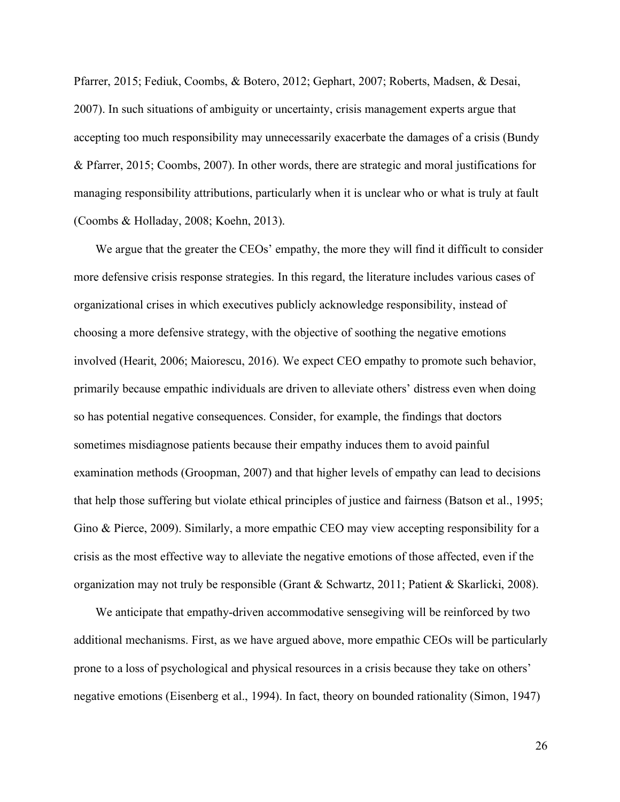Pfarrer, 2015; Fediuk, Coombs, & Botero, 2012; Gephart, 2007; Roberts, Madsen, & Desai, 2007). In such situations of ambiguity or uncertainty, crisis management experts argue that accepting too much responsibility may unnecessarily exacerbate the damages of a crisis (Bundy & Pfarrer, 2015; Coombs, 2007). In other words, there are strategic and moral justifications for managing responsibility attributions, particularly when it is unclear who or what is truly at fault (Coombs & Holladay, 2008; Koehn, 2013).

We argue that the greater the CEOs' empathy, the more they will find it difficult to consider more defensive crisis response strategies. In this regard, the literature includes various cases of organizational crises in which executives publicly acknowledge responsibility, instead of choosing a more defensive strategy, with the objective of soothing the negative emotions involved (Hearit, 2006; Maiorescu, 2016). We expect CEO empathy to promote such behavior, primarily because empathic individuals are driven to alleviate others' distress even when doing so has potential negative consequences. Consider, for example, the findings that doctors sometimes misdiagnose patients because their empathy induces them to avoid painful examination methods (Groopman, 2007) and that higher levels of empathy can lead to decisions that help those suffering but violate ethical principles of justice and fairness (Batson et al., 1995; Gino & Pierce, 2009). Similarly, a more empathic CEO may view accepting responsibility for a crisis as the most effective way to alleviate the negative emotions of those affected, even if the organization may not truly be responsible (Grant & Schwartz, 2011; Patient & Skarlicki, 2008).

We anticipate that empathy-driven accommodative sensegiving will be reinforced by two additional mechanisms. First, as we have argued above, more empathic CEOs will be particularly prone to a loss of psychological and physical resources in a crisis because they take on others' negative emotions (Eisenberg et al., 1994). In fact, theory on bounded rationality (Simon, 1947)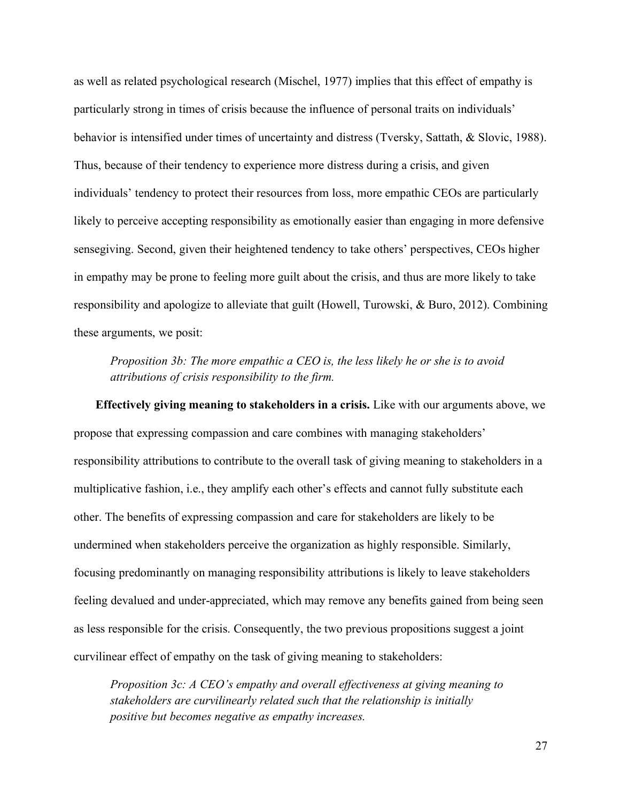as well as related psychological research (Mischel, 1977) implies that this effect of empathy is particularly strong in times of crisis because the influence of personal traits on individuals' behavior is intensified under times of uncertainty and distress (Tversky, Sattath, & Slovic, 1988). Thus, because of their tendency to experience more distress during a crisis, and given individuals' tendency to protect their resources from loss, more empathic CEOs are particularly likely to perceive accepting responsibility as emotionally easier than engaging in more defensive sensegiving. Second, given their heightened tendency to take others' perspectives, CEOs higher in empathy may be prone to feeling more guilt about the crisis, and thus are more likely to take responsibility and apologize to alleviate that guilt (Howell, Turowski, & Buro, 2012). Combining these arguments, we posit:

*Proposition 3b: The more empathic a CEO is, the less likely he or she is to avoid attributions of crisis responsibility to the firm.*

**Effectively giving meaning to stakeholders in a crisis.** Like with our arguments above, we propose that expressing compassion and care combines with managing stakeholders' responsibility attributions to contribute to the overall task of giving meaning to stakeholders in a multiplicative fashion, i.e., they amplify each other's effects and cannot fully substitute each other. The benefits of expressing compassion and care for stakeholders are likely to be undermined when stakeholders perceive the organization as highly responsible. Similarly, focusing predominantly on managing responsibility attributions is likely to leave stakeholders feeling devalued and under-appreciated, which may remove any benefits gained from being seen as less responsible for the crisis. Consequently, the two previous propositions suggest a joint curvilinear effect of empathy on the task of giving meaning to stakeholders:

*Proposition 3c: A CEO's empathy and overall effectiveness at giving meaning to stakeholders are curvilinearly related such that the relationship is initially positive but becomes negative as empathy increases.*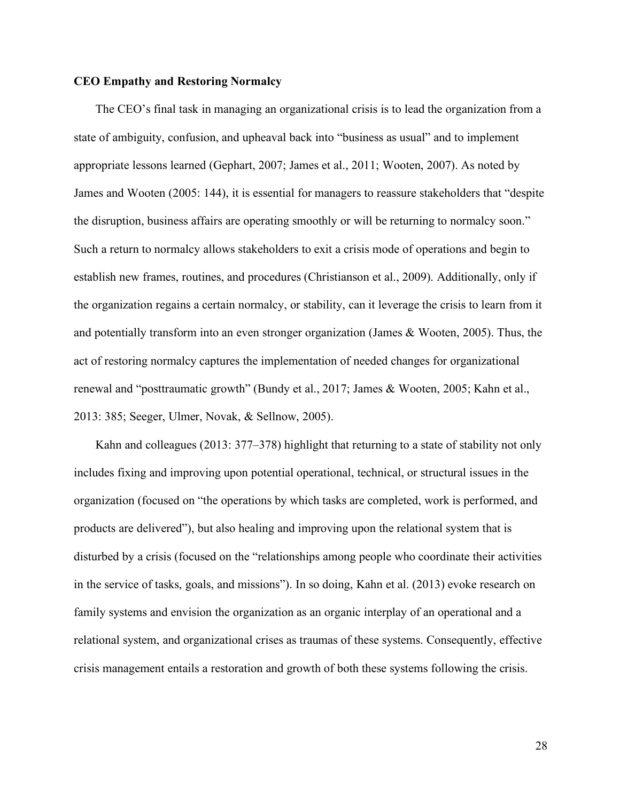### **CEO Empathy and Restoring Normalcy**

The CEO's final task in managing an organizational crisis is to lead the organization from a state of ambiguity, confusion, and upheaval back into "business as usual" and to implement appropriate lessons learned (Gephart, 2007; James et al., 2011; Wooten, 2007). As noted by James and Wooten (2005: 144), it is essential for managers to reassure stakeholders that "despite the disruption, business affairs are operating smoothly or will be returning to normalcy soon." Such a return to normalcy allows stakeholders to exit a crisis mode of operations and begin to establish new frames, routines, and procedures (Christianson et al., 2009). Additionally, only if the organization regains a certain normalcy, or stability, can it leverage the crisis to learn from it and potentially transform into an even stronger organization (James & Wooten, 2005). Thus, the act of restoring normalcy captures the implementation of needed changes for organizational renewal and "posttraumatic growth" (Bundy et al., 2017; James & Wooten, 2005; Kahn et al., 2013: 385; Seeger, Ulmer, Novak, & Sellnow, 2005).

Kahn and colleagues (2013: 377–378) highlight that returning to a state of stability not only includes fixing and improving upon potential operational, technical, or structural issues in the organization (focused on "the operations by which tasks are completed, work is performed, and products are delivered"), but also healing and improving upon the relational system that is disturbed by a crisis (focused on the "relationships among people who coordinate their activities in the service of tasks, goals, and missions"). In so doing, Kahn et al. (2013) evoke research on family systems and envision the organization as an organic interplay of an operational and a relational system, and organizational crises as traumas of these systems. Consequently, effective crisis management entails a restoration and growth of both these systems following the crisis.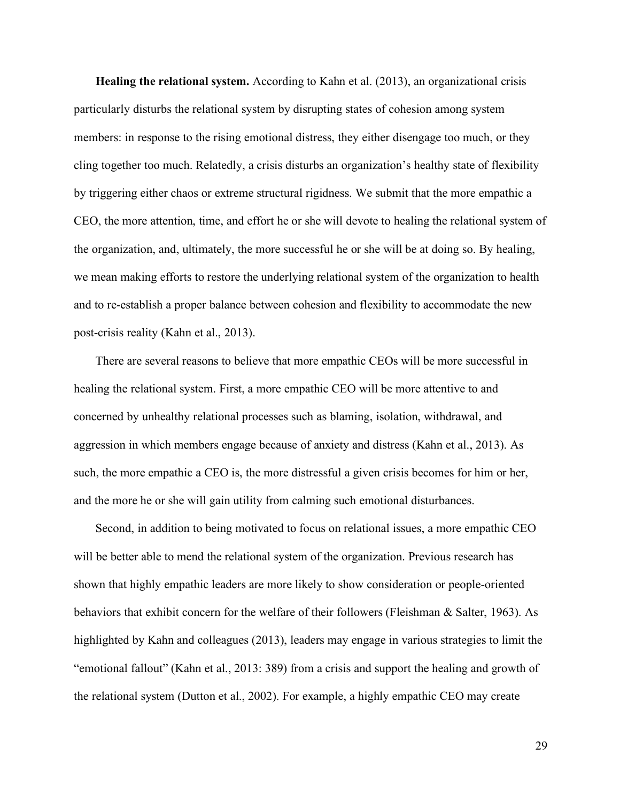**Healing the relational system.** According to Kahn et al. (2013), an organizational crisis particularly disturbs the relational system by disrupting states of cohesion among system members: in response to the rising emotional distress, they either disengage too much, or they cling together too much. Relatedly, a crisis disturbs an organization's healthy state of flexibility by triggering either chaos or extreme structural rigidness. We submit that the more empathic a CEO, the more attention, time, and effort he or she will devote to healing the relational system of the organization, and, ultimately, the more successful he or she will be at doing so. By healing, we mean making efforts to restore the underlying relational system of the organization to health and to re-establish a proper balance between cohesion and flexibility to accommodate the new post-crisis reality (Kahn et al., 2013).

There are several reasons to believe that more empathic CEOs will be more successful in healing the relational system. First, a more empathic CEO will be more attentive to and concerned by unhealthy relational processes such as blaming, isolation, withdrawal, and aggression in which members engage because of anxiety and distress (Kahn et al., 2013). As such, the more empathic a CEO is, the more distressful a given crisis becomes for him or her, and the more he or she will gain utility from calming such emotional disturbances.

Second, in addition to being motivated to focus on relational issues, a more empathic CEO will be better able to mend the relational system of the organization. Previous research has shown that highly empathic leaders are more likely to show consideration or people-oriented behaviors that exhibit concern for the welfare of their followers (Fleishman & Salter, 1963). As highlighted by Kahn and colleagues (2013), leaders may engage in various strategies to limit the "emotional fallout" (Kahn et al., 2013: 389) from a crisis and support the healing and growth of the relational system (Dutton et al., 2002). For example, a highly empathic CEO may create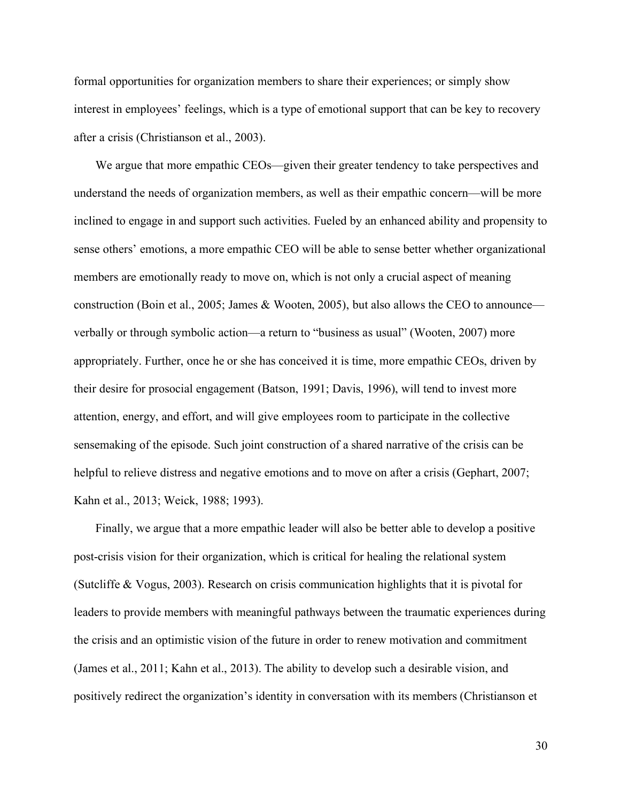formal opportunities for organization members to share their experiences; or simply show interest in employees' feelings, which is a type of emotional support that can be key to recovery after a crisis (Christianson et al., 2003).

We argue that more empathic CEOs—given their greater tendency to take perspectives and understand the needs of organization members, as well as their empathic concern—will be more inclined to engage in and support such activities. Fueled by an enhanced ability and propensity to sense others' emotions, a more empathic CEO will be able to sense better whether organizational members are emotionally ready to move on, which is not only a crucial aspect of meaning construction (Boin et al., 2005; James & Wooten, 2005), but also allows the CEO to announce verbally or through symbolic action—a return to "business as usual" (Wooten, 2007) more appropriately. Further, once he or she has conceived it is time, more empathic CEOs, driven by their desire for prosocial engagement (Batson, 1991; Davis, 1996), will tend to invest more attention, energy, and effort, and will give employees room to participate in the collective sensemaking of the episode. Such joint construction of a shared narrative of the crisis can be helpful to relieve distress and negative emotions and to move on after a crisis (Gephart, 2007; Kahn et al., 2013; Weick, 1988; 1993).

Finally, we argue that a more empathic leader will also be better able to develop a positive post-crisis vision for their organization, which is critical for healing the relational system (Sutcliffe & Vogus, 2003). Research on crisis communication highlights that it is pivotal for leaders to provide members with meaningful pathways between the traumatic experiences during the crisis and an optimistic vision of the future in order to renew motivation and commitment (James et al., 2011; Kahn et al., 2013). The ability to develop such a desirable vision, and positively redirect the organization's identity in conversation with its members (Christianson et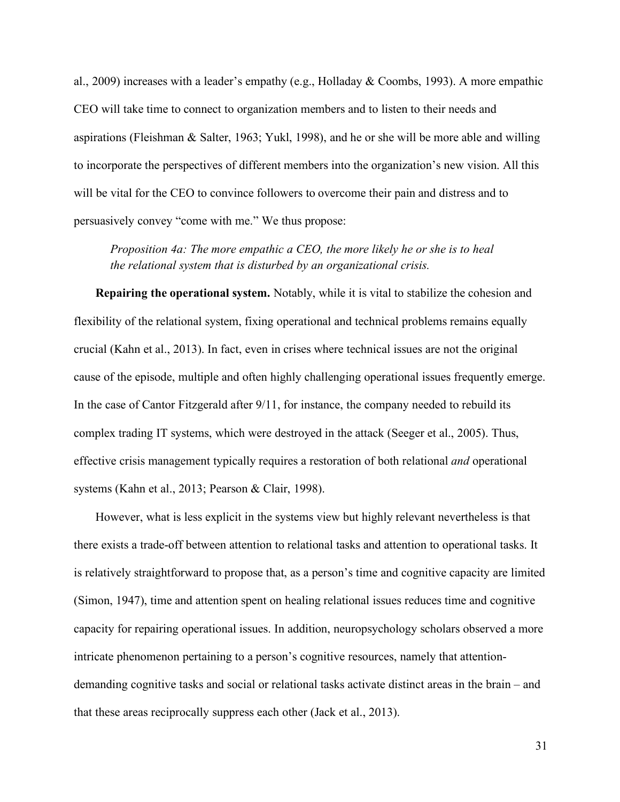al., 2009) increases with a leader's empathy (e.g., Holladay & Coombs, 1993). A more empathic CEO will take time to connect to organization members and to listen to their needs and aspirations (Fleishman & Salter, 1963; Yukl, 1998), and he or she will be more able and willing to incorporate the perspectives of different members into the organization's new vision. All this will be vital for the CEO to convince followers to overcome their pain and distress and to persuasively convey "come with me." We thus propose:

*Proposition 4a: The more empathic a CEO, the more likely he or she is to heal the relational system that is disturbed by an organizational crisis.* 

**Repairing the operational system.** Notably, while it is vital to stabilize the cohesion and flexibility of the relational system, fixing operational and technical problems remains equally crucial (Kahn et al., 2013). In fact, even in crises where technical issues are not the original cause of the episode, multiple and often highly challenging operational issues frequently emerge. In the case of Cantor Fitzgerald after 9/11, for instance, the company needed to rebuild its complex trading IT systems, which were destroyed in the attack (Seeger et al., 2005). Thus, effective crisis management typically requires a restoration of both relational *and* operational systems (Kahn et al., 2013; Pearson & Clair, 1998).

However, what is less explicit in the systems view but highly relevant nevertheless is that there exists a trade-off between attention to relational tasks and attention to operational tasks. It is relatively straightforward to propose that, as a person's time and cognitive capacity are limited (Simon, 1947), time and attention spent on healing relational issues reduces time and cognitive capacity for repairing operational issues. In addition, neuropsychology scholars observed a more intricate phenomenon pertaining to a person's cognitive resources, namely that attentiondemanding cognitive tasks and social or relational tasks activate distinct areas in the brain – and that these areas reciprocally suppress each other (Jack et al., 2013).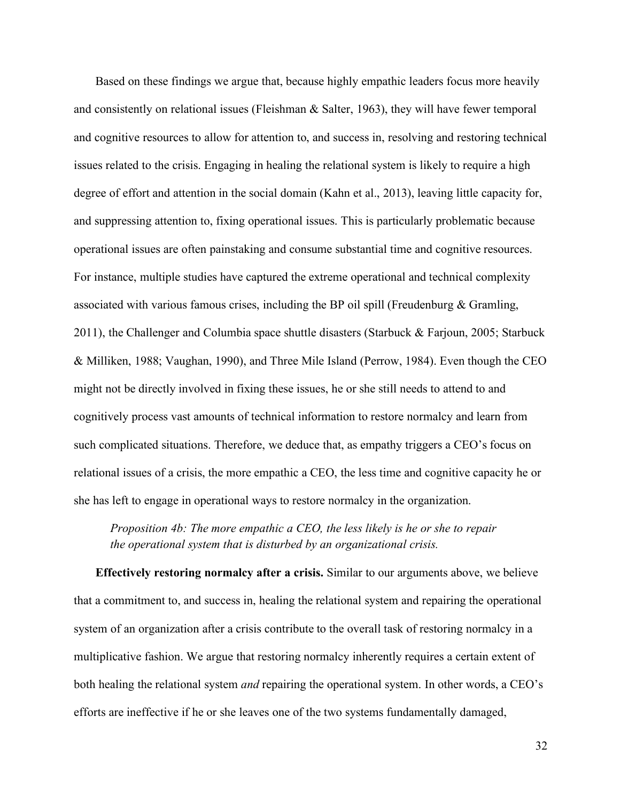Based on these findings we argue that, because highly empathic leaders focus more heavily and consistently on relational issues (Fleishman & Salter, 1963), they will have fewer temporal and cognitive resources to allow for attention to, and success in, resolving and restoring technical issues related to the crisis. Engaging in healing the relational system is likely to require a high degree of effort and attention in the social domain (Kahn et al., 2013), leaving little capacity for, and suppressing attention to, fixing operational issues. This is particularly problematic because operational issues are often painstaking and consume substantial time and cognitive resources. For instance, multiple studies have captured the extreme operational and technical complexity associated with various famous crises, including the BP oil spill (Freudenburg & Gramling, 2011), the Challenger and Columbia space shuttle disasters (Starbuck & Farjoun, 2005; Starbuck & Milliken, 1988; Vaughan, 1990), and Three Mile Island (Perrow, 1984). Even though the CEO might not be directly involved in fixing these issues, he or she still needs to attend to and cognitively process vast amounts of technical information to restore normalcy and learn from such complicated situations. Therefore, we deduce that, as empathy triggers a CEO's focus on relational issues of a crisis, the more empathic a CEO, the less time and cognitive capacity he or she has left to engage in operational ways to restore normalcy in the organization.

*Proposition 4b: The more empathic a CEO, the less likely is he or she to repair the operational system that is disturbed by an organizational crisis.*

**Effectively restoring normalcy after a crisis.** Similar to our arguments above, we believe that a commitment to, and success in, healing the relational system and repairing the operational system of an organization after a crisis contribute to the overall task of restoring normalcy in a multiplicative fashion. We argue that restoring normalcy inherently requires a certain extent of both healing the relational system *and* repairing the operational system. In other words, a CEO's efforts are ineffective if he or she leaves one of the two systems fundamentally damaged,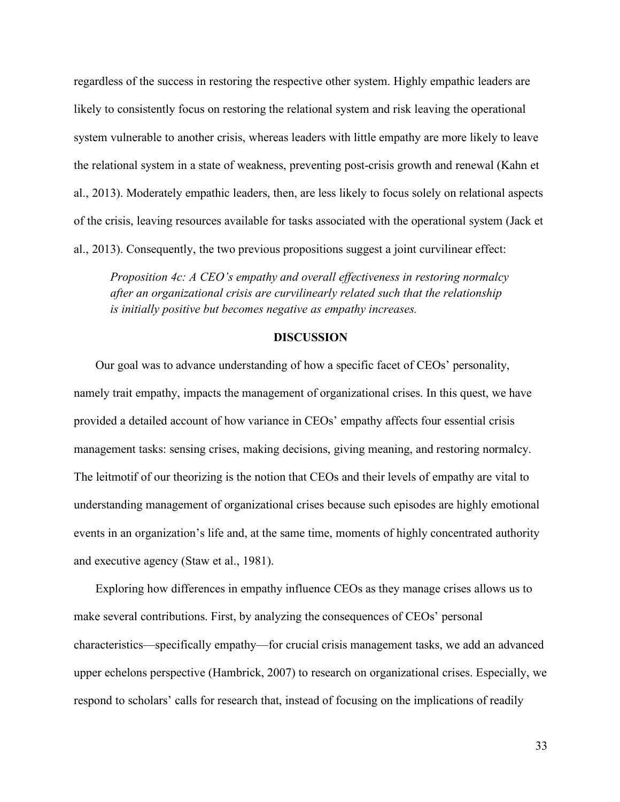regardless of the success in restoring the respective other system. Highly empathic leaders are likely to consistently focus on restoring the relational system and risk leaving the operational system vulnerable to another crisis, whereas leaders with little empathy are more likely to leave the relational system in a state of weakness, preventing post-crisis growth and renewal (Kahn et al., 2013). Moderately empathic leaders, then, are less likely to focus solely on relational aspects of the crisis, leaving resources available for tasks associated with the operational system (Jack et al., 2013). Consequently, the two previous propositions suggest a joint curvilinear effect:

*Proposition 4c: A CEO's empathy and overall effectiveness in restoring normalcy after an organizational crisis are curvilinearly related such that the relationship is initially positive but becomes negative as empathy increases.*

#### **DISCUSSION**

Our goal was to advance understanding of how a specific facet of CEOs' personality, namely trait empathy, impacts the management of organizational crises. In this quest, we have provided a detailed account of how variance in CEOs' empathy affects four essential crisis management tasks: sensing crises, making decisions, giving meaning, and restoring normalcy. The leitmotif of our theorizing is the notion that CEOs and their levels of empathy are vital to understanding management of organizational crises because such episodes are highly emotional events in an organization's life and, at the same time, moments of highly concentrated authority and executive agency (Staw et al., 1981).

Exploring how differences in empathy influence CEOs as they manage crises allows us to make several contributions. First, by analyzing the consequences of CEOs' personal characteristics—specifically empathy—for crucial crisis management tasks, we add an advanced upper echelons perspective (Hambrick, 2007) to research on organizational crises. Especially, we respond to scholars' calls for research that, instead of focusing on the implications of readily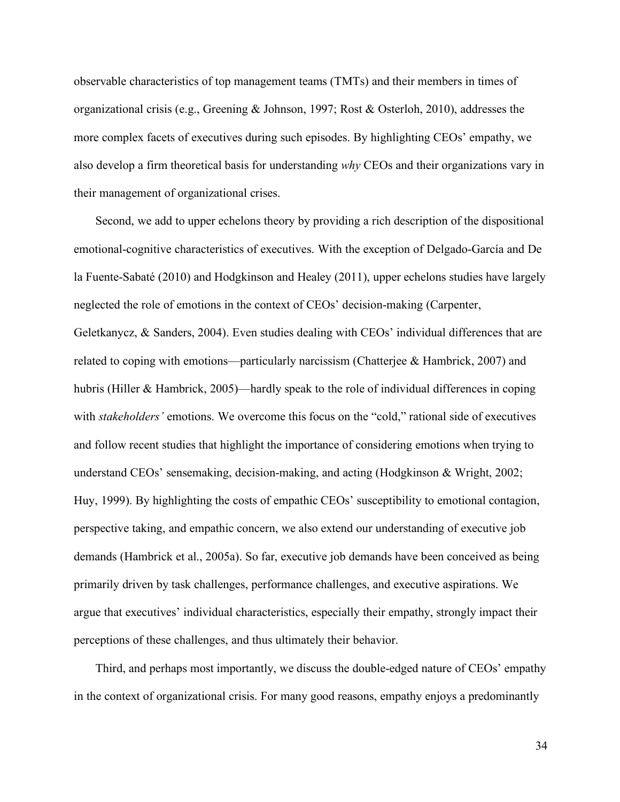observable characteristics of top management teams (TMTs) and their members in times of organizational crisis (e.g., Greening & Johnson, 1997; Rost & Osterloh, 2010), addresses the more complex facets of executives during such episodes. By highlighting CEOs' empathy, we also develop a firm theoretical basis for understanding *why* CEOs and their organizations vary in their management of organizational crises.

Second, we add to upper echelons theory by providing a rich description of the dispositional emotional-cognitive characteristics of executives. With the exception of Delgado-García and De la Fuente-Sabaté (2010) and Hodgkinson and Healey (2011), upper echelons studies have largely neglected the role of emotions in the context of CEOs' decision-making (Carpenter, Geletkanycz, & Sanders, 2004). Even studies dealing with CEOs' individual differences that are related to coping with emotions—particularly narcissism (Chatterjee  $\&$  Hambrick, 2007) and hubris (Hiller & Hambrick, 2005)—hardly speak to the role of individual differences in coping with *stakeholders'* emotions. We overcome this focus on the "cold," rational side of executives and follow recent studies that highlight the importance of considering emotions when trying to understand CEOs' sensemaking, decision-making, and acting (Hodgkinson & Wright, 2002; Huy, 1999). By highlighting the costs of empathic CEOs' susceptibility to emotional contagion, perspective taking, and empathic concern, we also extend our understanding of executive job demands (Hambrick et al., 2005a). So far, executive job demands have been conceived as being primarily driven by task challenges, performance challenges, and executive aspirations. We argue that executives' individual characteristics, especially their empathy, strongly impact their perceptions of these challenges, and thus ultimately their behavior.

Third, and perhaps most importantly, we discuss the double-edged nature of CEOs' empathy in the context of organizational crisis. For many good reasons, empathy enjoys a predominantly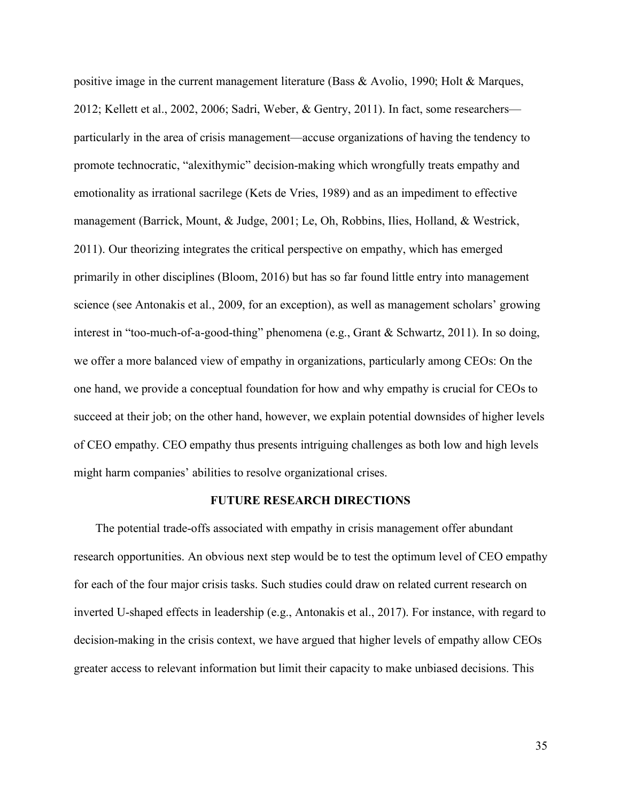positive image in the current management literature (Bass & Avolio, 1990; Holt & Marques, 2012; Kellett et al., 2002, 2006; Sadri, Weber, & Gentry, 2011). In fact, some researchers particularly in the area of crisis management—accuse organizations of having the tendency to promote technocratic, "alexithymic" decision-making which wrongfully treats empathy and emotionality as irrational sacrilege (Kets de Vries, 1989) and as an impediment to effective management (Barrick, Mount, & Judge, 2001; Le, Oh, Robbins, Ilies, Holland, & Westrick, 2011). Our theorizing integrates the critical perspective on empathy, which has emerged primarily in other disciplines (Bloom, 2016) but has so far found little entry into management science (see Antonakis et al., 2009, for an exception), as well as management scholars' growing interest in "too-much-of-a-good-thing" phenomena (e.g., Grant & Schwartz, 2011). In so doing, we offer a more balanced view of empathy in organizations, particularly among CEOs: On the one hand, we provide a conceptual foundation for how and why empathy is crucial for CEOs to succeed at their job; on the other hand, however, we explain potential downsides of higher levels of CEO empathy. CEO empathy thus presents intriguing challenges as both low and high levels might harm companies' abilities to resolve organizational crises.

# **FUTURE RESEARCH DIRECTIONS**

The potential trade-offs associated with empathy in crisis management offer abundant research opportunities. An obvious next step would be to test the optimum level of CEO empathy for each of the four major crisis tasks. Such studies could draw on related current research on inverted U-shaped effects in leadership (e.g., Antonakis et al., 2017). For instance, with regard to decision-making in the crisis context, we have argued that higher levels of empathy allow CEOs greater access to relevant information but limit their capacity to make unbiased decisions. This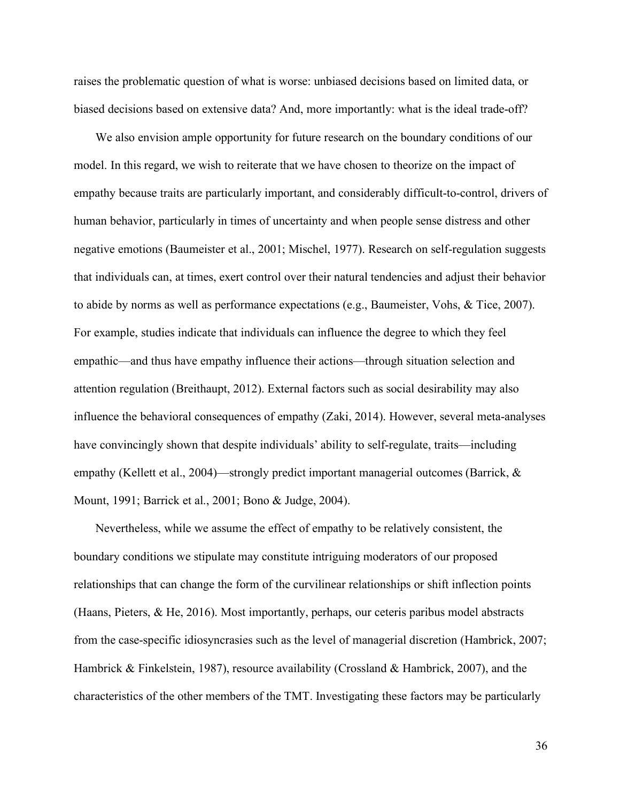raises the problematic question of what is worse: unbiased decisions based on limited data, or biased decisions based on extensive data? And, more importantly: what is the ideal trade-off?

We also envision ample opportunity for future research on the boundary conditions of our model. In this regard, we wish to reiterate that we have chosen to theorize on the impact of empathy because traits are particularly important, and considerably difficult-to-control, drivers of human behavior, particularly in times of uncertainty and when people sense distress and other negative emotions (Baumeister et al., 2001; Mischel, 1977). Research on self-regulation suggests that individuals can, at times, exert control over their natural tendencies and adjust their behavior to abide by norms as well as performance expectations (e.g., Baumeister, Vohs, & Tice, 2007). For example, studies indicate that individuals can influence the degree to which they feel empathic—and thus have empathy influence their actions—through situation selection and attention regulation (Breithaupt, 2012). External factors such as social desirability may also influence the behavioral consequences of empathy (Zaki, 2014). However, several meta-analyses have convincingly shown that despite individuals' ability to self-regulate, traits—including empathy (Kellett et al., 2004)—strongly predict important managerial outcomes (Barrick, & Mount, 1991; Barrick et al., 2001; Bono & Judge, 2004).

Nevertheless, while we assume the effect of empathy to be relatively consistent, the boundary conditions we stipulate may constitute intriguing moderators of our proposed relationships that can change the form of the curvilinear relationships or shift inflection points (Haans, Pieters, & He, 2016). Most importantly, perhaps, our ceteris paribus model abstracts from the case-specific idiosyncrasies such as the level of managerial discretion (Hambrick, 2007; Hambrick & Finkelstein, 1987), resource availability (Crossland & Hambrick, 2007), and the characteristics of the other members of the TMT. Investigating these factors may be particularly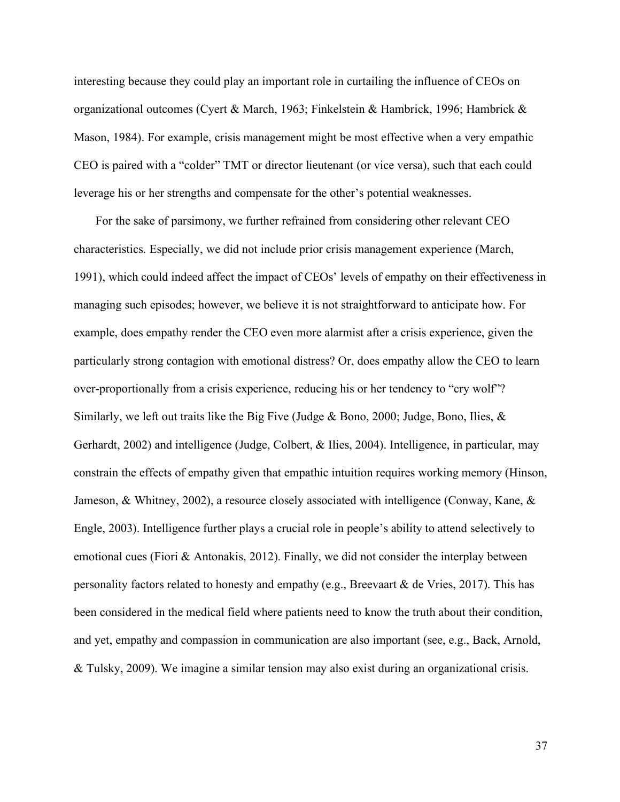interesting because they could play an important role in curtailing the influence of CEOs on organizational outcomes (Cyert & March, 1963; Finkelstein & Hambrick, 1996; Hambrick & Mason, 1984). For example, crisis management might be most effective when a very empathic CEO is paired with a "colder" TMT or director lieutenant (or vice versa), such that each could leverage his or her strengths and compensate for the other's potential weaknesses.

For the sake of parsimony, we further refrained from considering other relevant CEO characteristics. Especially, we did not include prior crisis management experience (March, 1991), which could indeed affect the impact of CEOs' levels of empathy on their effectiveness in managing such episodes; however, we believe it is not straightforward to anticipate how. For example, does empathy render the CEO even more alarmist after a crisis experience, given the particularly strong contagion with emotional distress? Or, does empathy allow the CEO to learn over-proportionally from a crisis experience, reducing his or her tendency to "cry wolf"? Similarly, we left out traits like the Big Five (Judge & Bono, 2000; Judge, Bono, Ilies, & Gerhardt, 2002) and intelligence (Judge, Colbert, & Ilies, 2004). Intelligence, in particular, may constrain the effects of empathy given that empathic intuition requires working memory (Hinson, Jameson, & Whitney, 2002), a resource closely associated with intelligence (Conway, Kane, & Engle, 2003). Intelligence further plays a crucial role in people's ability to attend selectively to emotional cues (Fiori & Antonakis, 2012). Finally, we did not consider the interplay between personality factors related to honesty and empathy (e.g., Breevaart & de Vries, 2017). This has been considered in the medical field where patients need to know the truth about their condition, and yet, empathy and compassion in communication are also important (see, e.g., Back, Arnold, & Tulsky, 2009). We imagine a similar tension may also exist during an organizational crisis.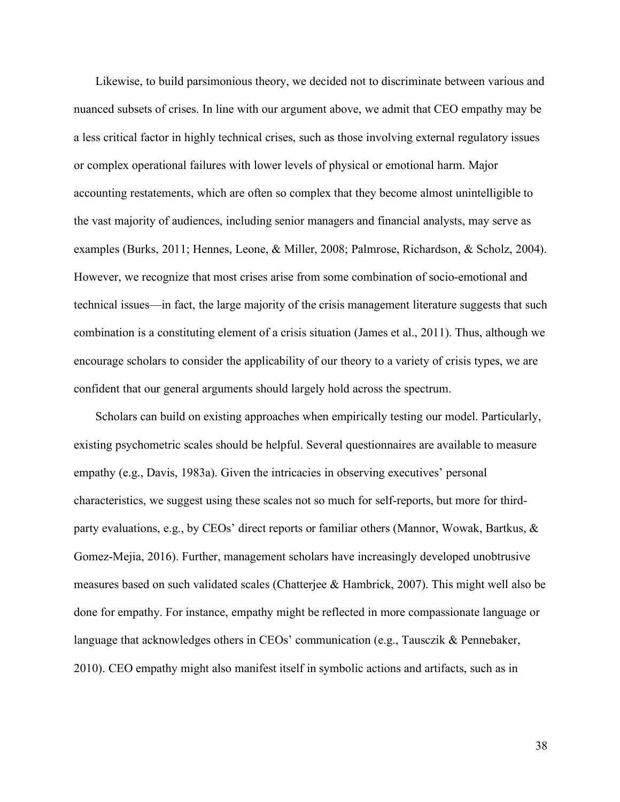Likewise, to build parsimonious theory, we decided not to discriminate between various and nuanced subsets of crises. In line with our argument above, we admit that CEO empathy may be a less critical factor in highly technical crises, such as those involving external regulatory issues or complex operational failures with lower levels of physical or emotional harm. Major accounting restatements, which are often so complex that they become almost unintelligible to the vast majority of audiences, including senior managers and financial analysts, may serve as examples (Burks, 2011; Hennes, Leone, & Miller, 2008; Palmrose, Richardson, & Scholz, 2004). However, we recognize that most crises arise from some combination of socio-emotional and technical issues—in fact, the large majority of the crisis management literature suggests that such combination is a constituting element of a crisis situation (James et al., 2011). Thus, although we encourage scholars to consider the applicability of our theory to a variety of crisis types, we are confident that our general arguments should largely hold across the spectrum.

Scholars can build on existing approaches when empirically testing our model. Particularly, existing psychometric scales should be helpful. Several questionnaires are available to measure empathy (e.g., Davis, 1983a). Given the intricacies in observing executives' personal characteristics, we suggest using these scales not so much for self-reports, but more for thirdparty evaluations, e.g., by CEOs' direct reports or familiar others (Mannor, Wowak, Bartkus, & Gomez-Mejia, 2016). Further, management scholars have increasingly developed unobtrusive measures based on such validated scales (Chatterjee & Hambrick, 2007). This might well also be done for empathy. For instance, empathy might be reflected in more compassionate language or language that acknowledges others in CEOs' communication (e.g., Tausczik & Pennebaker, 2010). CEO empathy might also manifest itself in symbolic actions and artifacts, such as in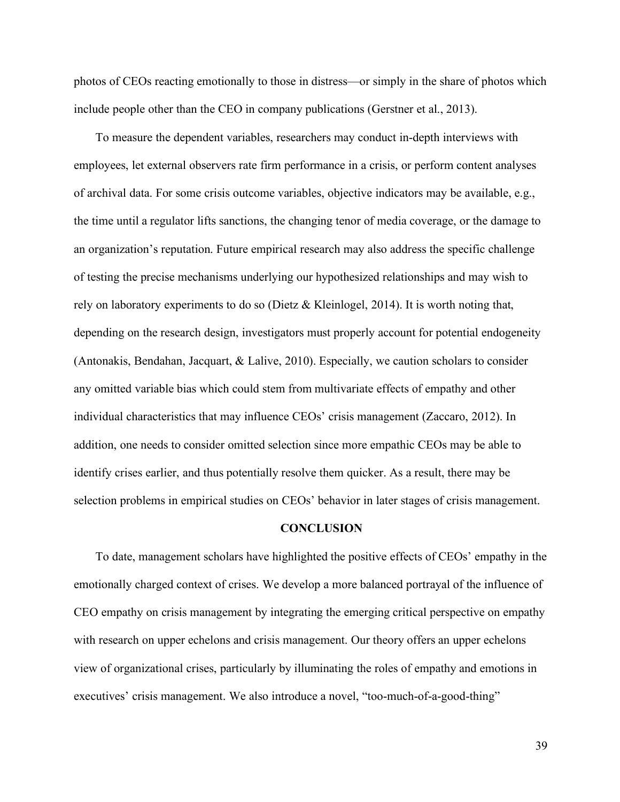photos of CEOs reacting emotionally to those in distress—or simply in the share of photos which include people other than the CEO in company publications (Gerstner et al., 2013).

To measure the dependent variables, researchers may conduct in-depth interviews with employees, let external observers rate firm performance in a crisis, or perform content analyses of archival data. For some crisis outcome variables, objective indicators may be available, e.g., the time until a regulator lifts sanctions, the changing tenor of media coverage, or the damage to an organization's reputation. Future empirical research may also address the specific challenge of testing the precise mechanisms underlying our hypothesized relationships and may wish to rely on laboratory experiments to do so (Dietz & Kleinlogel, 2014). It is worth noting that, depending on the research design, investigators must properly account for potential endogeneity (Antonakis, Bendahan, Jacquart, & Lalive, 2010). Especially, we caution scholars to consider any omitted variable bias which could stem from multivariate effects of empathy and other individual characteristics that may influence CEOs' crisis management (Zaccaro, 2012). In addition, one needs to consider omitted selection since more empathic CEOs may be able to identify crises earlier, and thus potentially resolve them quicker. As a result, there may be selection problems in empirical studies on CEOs' behavior in later stages of crisis management.

#### **CONCLUSION**

To date, management scholars have highlighted the positive effects of CEOs' empathy in the emotionally charged context of crises. We develop a more balanced portrayal of the influence of CEO empathy on crisis management by integrating the emerging critical perspective on empathy with research on upper echelons and crisis management. Our theory offers an upper echelons view of organizational crises, particularly by illuminating the roles of empathy and emotions in executives' crisis management. We also introduce a novel, "too-much-of-a-good-thing"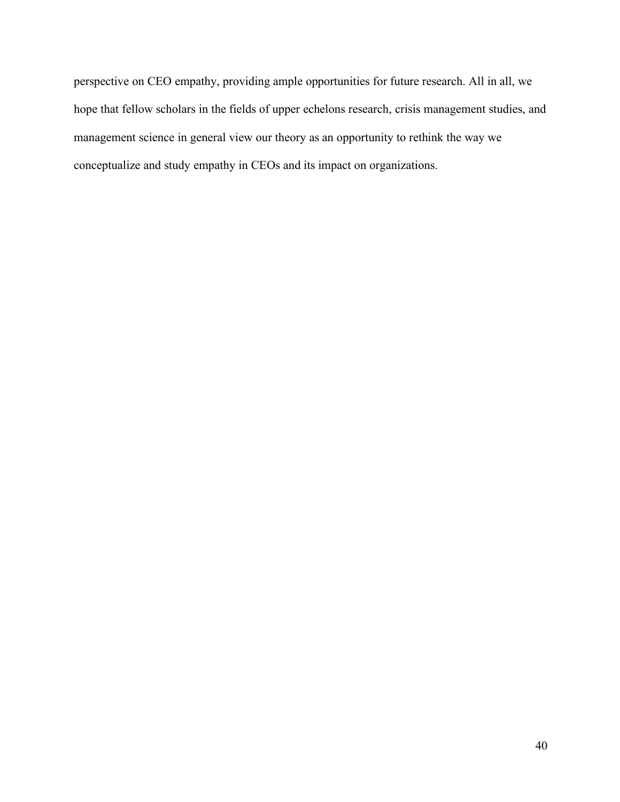perspective on CEO empathy, providing ample opportunities for future research. All in all, we hope that fellow scholars in the fields of upper echelons research, crisis management studies, and management science in general view our theory as an opportunity to rethink the way we conceptualize and study empathy in CEOs and its impact on organizations.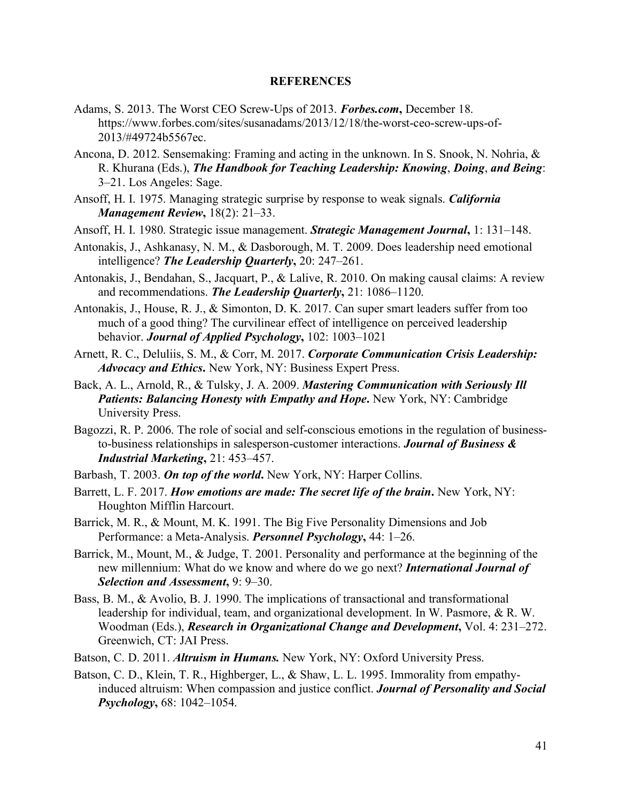#### **REFERENCES**

- Adams, S. 2013. The Worst CEO Screw-Ups of 2013. *Forbes.com***,** December 18. https://www.forbes.com/sites/susanadams/2013/12/18/the-worst-ceo-screw-ups-of-2013/#49724b5567ec.
- Ancona, D. 2012. Sensemaking: Framing and acting in the unknown. In S. Snook, N. Nohria, & R. Khurana (Eds.), *The Handbook for Teaching Leadership: Knowing*, *Doing*, *and Being*: 3–21. Los Angeles: Sage.
- Ansoff, H. I. 1975. Managing strategic surprise by response to weak signals. *California Management Review***,** 18(2): 21–33.
- Ansoff, H. I. 1980. Strategic issue management. *Strategic Management Journal***,** 1: 131–148.
- Antonakis, J., Ashkanasy, N. M., & Dasborough, M. T. 2009. Does leadership need emotional intelligence? *The Leadership Quarterly***,** 20: 247–261.
- Antonakis, J., Bendahan, S., Jacquart, P., & Lalive, R. 2010. On making causal claims: A review and recommendations. *The Leadership Quarterly***,** 21: 1086–1120.
- Antonakis, J., House, R. J., & Simonton, D. K. 2017. Can super smart leaders suffer from too much of a good thing? The curvilinear effect of intelligence on perceived leadership behavior. *Journal of Applied Psychology***,** 102: 1003–1021
- Arnett, R. C., Deluliis, S. M., & Corr, M. 2017. *Corporate Communication Crisis Leadership: Advocacy and Ethics***.** New York, NY: Business Expert Press.
- Back, A. L., Arnold, R., & Tulsky, J. A. 2009. *Mastering Communication with Seriously Ill Patients: Balancing Honesty with Empathy and Hope***. New York, NY: Cambridge** University Press.
- Bagozzi, R. P. 2006. The role of social and self-conscious emotions in the regulation of businessto-business relationships in salesperson-customer interactions. *Journal of Business & Industrial Marketing***,** 21: 453–457.
- Barbash, T. 2003. *On top of the world***.** New York, NY: Harper Collins.
- Barrett, L. F. 2017. *How emotions are made: The secret life of the brain***.** New York, NY: Houghton Mifflin Harcourt.
- Barrick, M. R., & Mount, M. K. 1991. The Big Five Personality Dimensions and Job Performance: a Meta-Analysis. *Personnel Psychology***,** 44: 1–26.
- Barrick, M., Mount, M., & Judge, T. 2001. Personality and performance at the beginning of the new millennium: What do we know and where do we go next? *International Journal of Selection and Assessment***,** 9: 9–30.
- Bass, B. M., & Avolio, B. J. 1990. The implications of transactional and transformational leadership for individual, team, and organizational development. In W. Pasmore, & R. W. Woodman (Eds.), *Research in Organizational Change and Development***,** Vol. 4: 231–272. Greenwich, CT: JAI Press.
- Batson, C. D. 2011. *Altruism in Humans.* New York, NY: Oxford University Press.
- Batson, C. D., Klein, T. R., Highberger, L., & Shaw, L. L. 1995. Immorality from empathyinduced altruism: When compassion and justice conflict. *Journal of Personality and Social Psychology***,** 68: 1042–1054.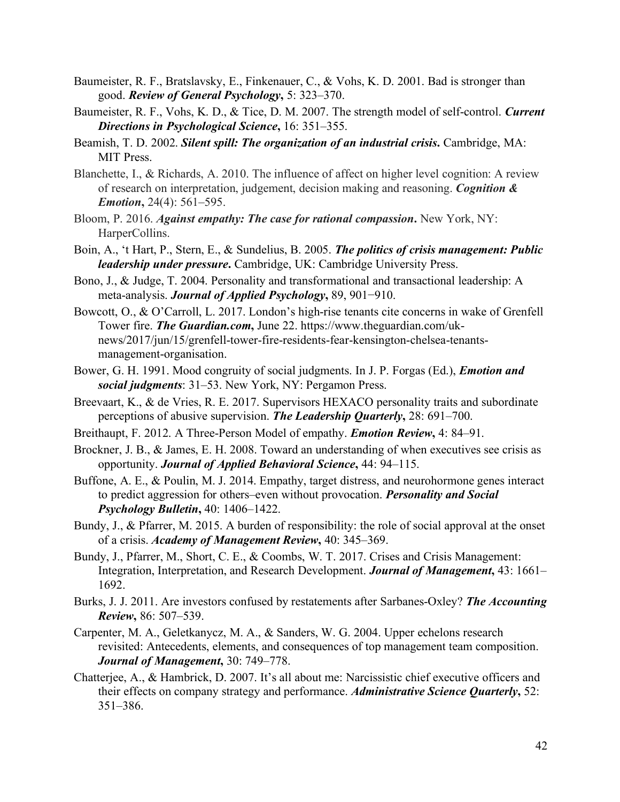- Baumeister, R. F., Bratslavsky, E., Finkenauer, C., & Vohs, K. D. 2001. Bad is stronger than good. *Review of General Psychology***,** 5: 323–370.
- Baumeister, R. F., Vohs, K. D., & Tice, D. M. 2007. The strength model of self-control. *Current Directions in Psychological Science***,** 16: 351–355.
- Beamish, T. D. 2002. *Silent spill: The organization of an industrial crisis***.** Cambridge, MA: MIT Press.
- Blanchette, I., & Richards, A. 2010. The influence of affect on higher level cognition: A review of research on interpretation, judgement, decision making and reasoning. *Cognition & Emotion***,** 24(4): 561–595.
- Bloom, P. 2016. *Against empathy: The case for rational compassion***.** New York, NY: HarperCollins.
- Boin, A., 't Hart, P., Stern, E., & Sundelius, B. 2005. *The politics of crisis management: Public leadership under pressure***.** Cambridge, UK: Cambridge University Press.
- Bono, J., & Judge, T. 2004. Personality and transformational and transactional leadership: A meta-analysis. *Journal of Applied Psychology***,** 89, 901−910.
- Bowcott, O., & O'Carroll, L. 2017. London's high-rise tenants cite concerns in wake of Grenfell Tower fire. *The Guardian.com***,** June 22. https://www.theguardian.com/uknews/2017/jun/15/grenfell-tower-fire-residents-fear-kensington-chelsea-tenantsmanagement-organisation.
- Bower, G. H. 1991. Mood congruity of social judgments. In J. P. Forgas (Ed.), *Emotion and social judgments*: 31–53. New York, NY: Pergamon Press.
- Breevaart, K., & de Vries, R. E. 2017. Supervisors HEXACO personality traits and subordinate perceptions of abusive supervision. *The Leadership Quarterly***,** 28: 691–700.
- Breithaupt, F. 2012. A Three-Person Model of empathy. *Emotion Review***,** 4: 84–91.
- Brockner, J. B., & James, E. H. 2008. Toward an understanding of when executives see crisis as opportunity. *Journal of Applied Behavioral Science***,** 44: 94–115.
- Buffone, A. E., & Poulin, M. J. 2014. Empathy, target distress, and neurohormone genes interact to predict aggression for others–even without provocation. *Personality and Social Psychology Bulletin***,** 40: 1406–1422.
- Bundy, J., & Pfarrer, M. 2015. A burden of responsibility: the role of social approval at the onset of a crisis. *Academy of Management Review***,** 40: 345–369.
- Bundy, J., Pfarrer, M., Short, C. E., & Coombs, W. T. 2017. Crises and Crisis Management: Integration, Interpretation, and Research Development. *Journal of Management***,** 43: 1661– 1692.
- Burks, J. J. 2011. Are investors confused by restatements after Sarbanes-Oxley? *The Accounting Review***,** 86: 507–539.
- Carpenter, M. A., Geletkanycz, M. A., & Sanders, W. G. 2004. Upper echelons research revisited: Antecedents, elements, and consequences of top management team composition. *Journal of Management***,** 30: 749–778.
- Chatterjee, A., & Hambrick, D. 2007. It's all about me: Narcissistic chief executive officers and their effects on company strategy and performance. *Administrative Science Quarterly***,** 52: 351–386.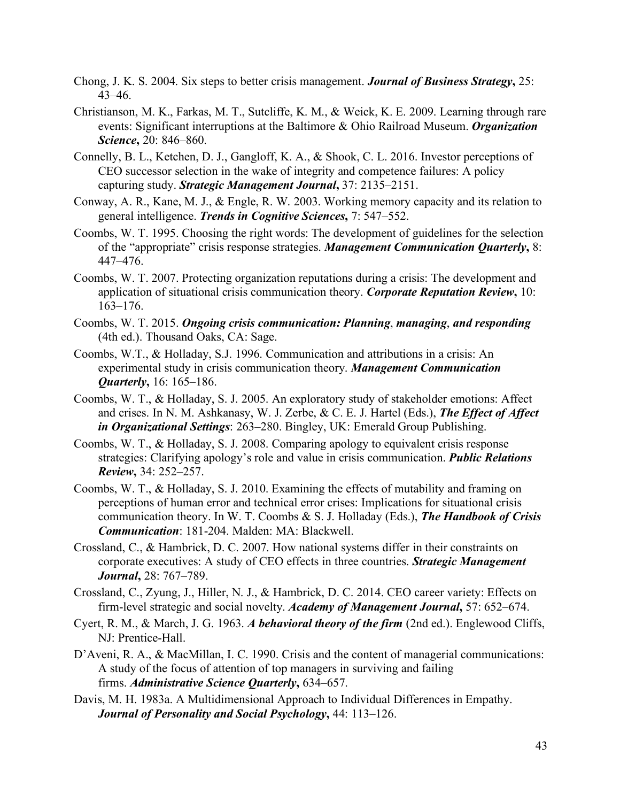- Chong, J. K. S. 2004. Six steps to better crisis management. *Journal of Business Strategy***,** 25: 43–46.
- Christianson, M. K., Farkas, M. T., Sutcliffe, K. M., & Weick, K. E. 2009. Learning through rare events: Significant interruptions at the Baltimore & Ohio Railroad Museum. *Organization Science***,** 20: 846–860.
- Connelly, B. L., Ketchen, D. J., Gangloff, K. A., & Shook, C. L. 2016. Investor perceptions of CEO successor selection in the wake of integrity and competence failures: A policy capturing study. *Strategic Management Journal***,** 37: 2135–2151.
- Conway, A. R., Kane, M. J., & Engle, R. W. 2003. Working memory capacity and its relation to general intelligence. *Trends in Cognitive Sciences***,** 7: 547–552.
- Coombs, W. T. 1995. Choosing the right words: The development of guidelines for the selection of the "appropriate" crisis response strategies. *Management Communication Quarterly***,** 8: 447–476.
- Coombs, W. T. 2007. Protecting organization reputations during a crisis: The development and application of situational crisis communication theory. *Corporate Reputation Review***,** 10: 163–176.
- Coombs, W. T. 2015. *Ongoing crisis communication: Planning*, *managing*, *and responding* (4th ed.). Thousand Oaks, CA: Sage.
- Coombs, W.T., & Holladay, S.J. 1996. Communication and attributions in a crisis: An experimental study in crisis communication theory. *Management Communication Quarterly***,** 16: 165–186.
- Coombs, W. T., & Holladay, S. J. 2005. An exploratory study of stakeholder emotions: Affect and crises. In N. M. Ashkanasy, W. J. Zerbe, & C. E. J. Hartel (Eds.), *The Effect of Affect in Organizational Settings*: 263–280. Bingley, UK: Emerald Group Publishing.
- Coombs, W. T., & Holladay, S. J. 2008. Comparing apology to equivalent crisis response strategies: Clarifying apology's role and value in crisis communication. *Public Relations Review***,** 34: 252–257.
- Coombs, W. T., & Holladay, S. J. 2010. Examining the effects of mutability and framing on perceptions of human error and technical error crises: Implications for situational crisis communication theory. In W. T. Coombs & S. J. Holladay (Eds.), *The Handbook of Crisis Communication*: 181-204. Malden: MA: Blackwell.
- Crossland, C., & Hambrick, D. C. 2007. How national systems differ in their constraints on corporate executives: A study of CEO effects in three countries. *Strategic Management Journal***,** 28: 767–789.
- Crossland, C., Zyung, J., Hiller, N. J., & Hambrick, D. C. 2014. CEO career variety: Effects on firm-level strategic and social novelty. *Academy of Management Journal***,** 57: 652–674.
- Cyert, R. M., & March, J. G. 1963. *A behavioral theory of the firm* (2nd ed.). Englewood Cliffs, NJ: Prentice-Hall.
- D'Aveni, R. A., & MacMillan, I. C. 1990. Crisis and the content of managerial communications: A study of the focus of attention of top managers in surviving and failing firms. *Administrative Science Quarterly***,** 634–657.
- Davis, M. H. 1983a. A Multidimensional Approach to Individual Differences in Empathy. *Journal of Personality and Social Psychology***,** 44: 113–126.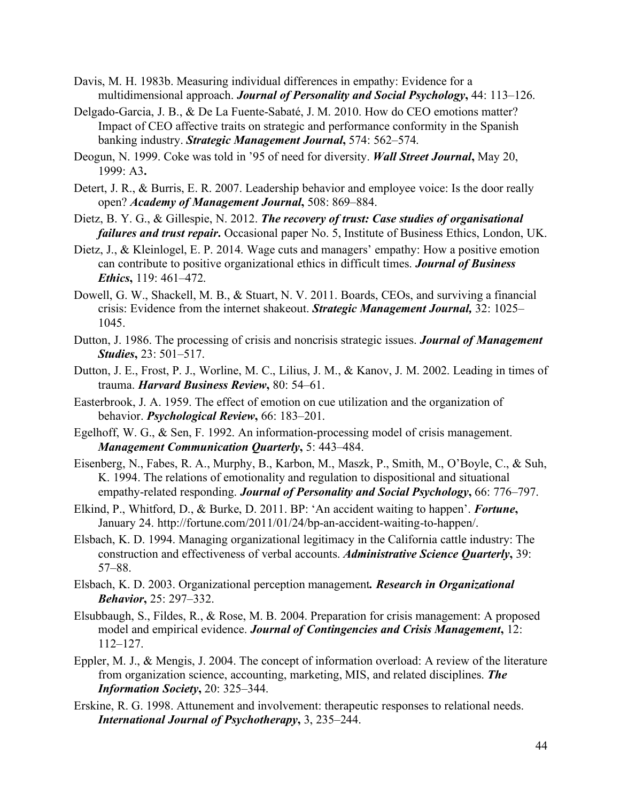- Davis, M. H. 1983b. Measuring individual differences in empathy: Evidence for a multidimensional approach. *Journal of Personality and Social Psychology***,** 44: 113–126.
- Delgado-Garcia, J. B., & De La Fuente-Sabaté, J. M. 2010. How do CEO emotions matter? Impact of CEO affective traits on strategic and performance conformity in the Spanish banking industry. *Strategic Management Journal***,** 574: 562–574.
- Deogun, N. 1999. Coke was told in '95 of need for diversity. *Wall Street Journal***,** May 20, 1999: A3**.**
- Detert, J. R., & Burris, E. R. 2007. Leadership behavior and employee voice: Is the door really open? *Academy of Management Journal***,** 508: 869–884.
- Dietz, B. Y. G., & Gillespie, N. 2012. *The recovery of trust: Case studies of organisational failures and trust repair***.** Occasional paper No. 5, Institute of Business Ethics, London, UK.
- Dietz, J., & Kleinlogel, E. P. 2014. Wage cuts and managers' empathy: How a positive emotion can contribute to positive organizational ethics in difficult times. *Journal of Business Ethics***,** 119: 461–472.
- Dowell, G. W., Shackell, M. B., & Stuart, N. V. 2011. Boards, CEOs, and surviving a financial crisis: Evidence from the internet shakeout. *Strategic Management Journal,* 32: 1025– 1045.
- Dutton, J. 1986. The processing of crisis and noncrisis strategic issues. *Journal of Management Studies***,** 23: 501–517.
- Dutton, J. E., Frost, P. J., Worline, M. C., Lilius, J. M., & Kanov, J. M. 2002. Leading in times of trauma. *Harvard Business Review***,** 80: 54–61.
- Easterbrook, J. A. 1959. The effect of emotion on cue utilization and the organization of behavior. *Psychological Review***,** 66: 183–201.
- Egelhoff, W. G., & Sen, F. 1992. An information-processing model of crisis management. *Management Communication Quarterly***,** 5: 443–484.
- Eisenberg, N., Fabes, R. A., Murphy, B., Karbon, M., Maszk, P., Smith, M., O'Boyle, C., & Suh, K. 1994. The relations of emotionality and regulation to dispositional and situational empathy-related responding. *Journal of Personality and Social Psychology***,** 66: 776–797.
- Elkind, P., Whitford, D., & Burke, D. 2011. BP: 'An accident waiting to happen'. *Fortune***,** January 24. http://fortune.com/2011/01/24/bp-an-accident-waiting-to-happen/.
- Elsbach, K. D. 1994. Managing organizational legitimacy in the California cattle industry: The construction and effectiveness of verbal accounts. *Administrative Science Quarterly***,** 39: 57–88.
- Elsbach, K. D. 2003. Organizational perception management*. Research in Organizational Behavior***,** 25: 297–332.
- Elsubbaugh, S., Fildes, R., & Rose, M. B. 2004. Preparation for crisis management: A proposed model and empirical evidence. *Journal of Contingencies and Crisis Management***,** 12: 112–127.
- Eppler, M. J., & Mengis, J. 2004. The concept of information overload: A review of the literature from organization science, accounting, marketing, MIS, and related disciplines. *The Information Society***,** 20: 325–344.
- Erskine, R. G. 1998. Attunement and involvement: therapeutic responses to relational needs. *International Journal of Psychotherapy***,** 3, 235–244.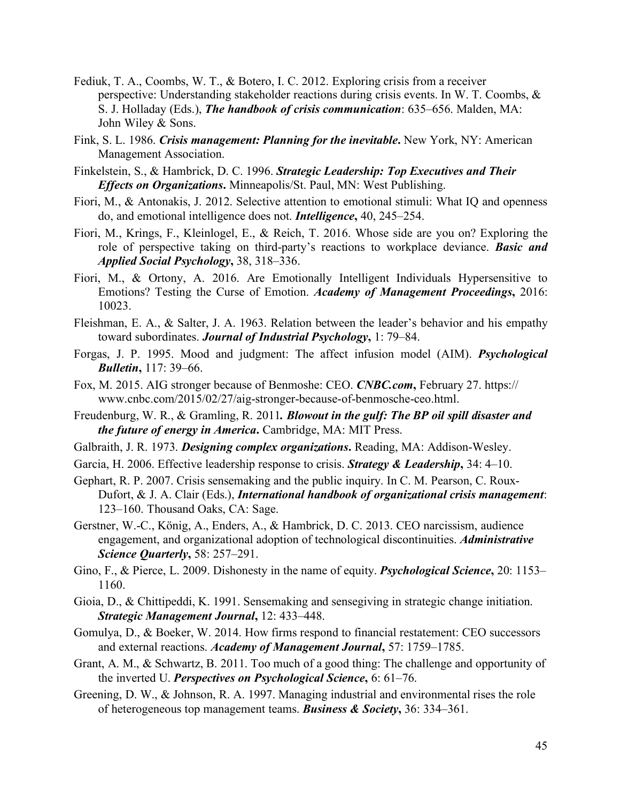- Fediuk, T. A., Coombs, W. T., & Botero, I. C. 2012. Exploring crisis from a receiver perspective: Understanding stakeholder reactions during crisis events. In W. T. Coombs, & S. J. Holladay (Eds.), *The handbook of crisis communication*: 635–656. Malden, MA: John Wiley & Sons.
- Fink, S. L. 1986. *Crisis management: Planning for the inevitable***.** New York, NY: American Management Association.
- Finkelstein, S., & Hambrick, D. C. 1996. *Strategic Leadership: Top Executives and Their Effects on Organizations***.** Minneapolis/St. Paul, MN: West Publishing.
- Fiori, M., & Antonakis, J. 2012. Selective attention to emotional stimuli: What IQ and openness do, and emotional intelligence does not. *Intelligence***,** 40, 245–254.
- Fiori, M., Krings, F., Kleinlogel, E., & Reich, T. 2016. Whose side are you on? Exploring the role of perspective taking on third-party's reactions to workplace deviance. *Basic and Applied Social Psychology***,** 38, 318–336.
- Fiori, M., & Ortony, A. 2016. Are Emotionally Intelligent Individuals Hypersensitive to Emotions? Testing the Curse of Emotion. *Academy of Management Proceedings***,** 2016: 10023.
- Fleishman, E. A., & Salter, J. A. 1963. Relation between the leader's behavior and his empathy toward subordinates. *Journal of Industrial Psychology***,** 1: 79–84.
- Forgas, J. P. 1995. Mood and judgment: The affect infusion model (AIM). *Psychological Bulletin***,** 117: 39–66.
- Fox, M. 2015. AIG stronger because of Benmoshe: CEO. *CNBC.com***,** February 27. https:// www.cnbc.com/2015/02/27/aig-stronger-because-of-benmosche-ceo.html.
- Freudenburg, W. R., & Gramling, R. 2011*. Blowout in the gulf: The BP oil spill disaster and the future of energy in America***.** Cambridge, MA: MIT Press.
- Galbraith, J. R. 1973. *Designing complex organizations***.** Reading, MA: Addison-Wesley.
- Garcia, H. 2006. Effective leadership response to crisis. *Strategy & Leadership***,** 34: 4–10.
- Gephart, R. P. 2007. Crisis sensemaking and the public inquiry. In C. M. Pearson, C. Roux-Dufort, & J. A. Clair (Eds.), *International handbook of organizational crisis management*: 123–160. Thousand Oaks, CA: Sage.
- Gerstner, W.-C., König, A., Enders, A., & Hambrick, D. C. 2013. CEO narcissism, audience engagement, and organizational adoption of technological discontinuities. *Administrative Science Quarterly***,** 58: 257–291.
- Gino, F., & Pierce, L. 2009. Dishonesty in the name of equity. *Psychological Science***,** 20: 1153– 1160.
- Gioia, D., & Chittipeddi, K. 1991. Sensemaking and sensegiving in strategic change initiation. *Strategic Management Journal***,** 12: 433–448.
- Gomulya, D., & Boeker, W. 2014. How firms respond to financial restatement: CEO successors and external reactions. *Academy of Management Journal***,** 57: 1759–1785.
- Grant, A. M., & Schwartz, B. 2011. Too much of a good thing: The challenge and opportunity of the inverted U. *Perspectives on Psychological Science***,** 6: 61–76.
- Greening, D. W., & Johnson, R. A. 1997. Managing industrial and environmental rises the role of heterogeneous top management teams. *Business & Society***,** 36: 334–361.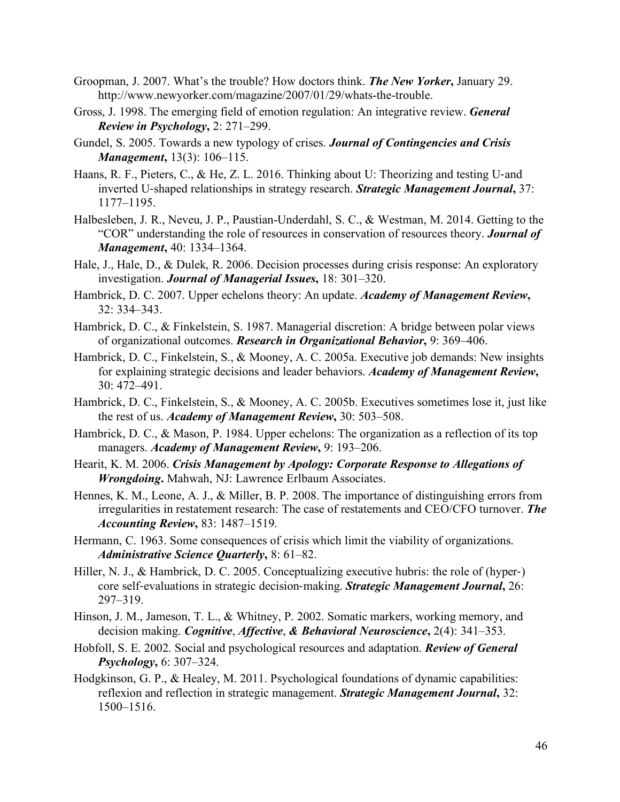- Groopman, J. 2007. What's the trouble? How doctors think. *The New Yorker***,** January 29. http://www.newyorker.com/magazine/2007/01/29/whats-the-trouble.
- Gross, J. 1998. The emerging field of emotion regulation: An integrative review. *General Review in Psychology***,** 2: 271–299.
- Gundel, S. 2005. Towards a new typology of crises. *Journal of Contingencies and Crisis Management***,** 13(3): 106–115.
- Haans, R. F., Pieters, C., & He, Z. L. 2016. Thinking about U: Theorizing and testing U-and inverted U-shaped relationships in strategy research. *Strategic Management Journal***,** 37: 1177–1195.
- Halbesleben, J. R., Neveu, J. P., Paustian-Underdahl, S. C., & Westman, M. 2014. Getting to the "COR" understanding the role of resources in conservation of resources theory. *Journal of Management***,** 40: 1334–1364.
- Hale, J., Hale, D., & Dulek, R. 2006. Decision processes during crisis response: An exploratory investigation. *Journal of Managerial Issues***,** 18: 301–320.
- Hambrick, D. C. 2007. Upper echelons theory: An update. *Academy of Management Review***,**  32: 334–343.
- Hambrick, D. C., & Finkelstein, S. 1987. Managerial discretion: A bridge between polar views of organizational outcomes. *Research in Organizational Behavior***,** 9: 369–406.
- Hambrick, D. C., Finkelstein, S., & Mooney, A. C. 2005a. Executive job demands: New insights for explaining strategic decisions and leader behaviors. *Academy of Management Review***,**  30: 472–491.
- Hambrick, D. C., Finkelstein, S., & Mooney, A. C. 2005b. Executives sometimes lose it, just like the rest of us. *Academy of Management Review***,** 30: 503–508.
- Hambrick, D. C., & Mason, P. 1984. Upper echelons: The organization as a reflection of its top managers. *Academy of Management Review***,** 9: 193–206.
- Hearit, K. M. 2006. *Crisis Management by Apology: Corporate Response to Allegations of Wrongdoing***.** Mahwah, NJ: Lawrence Erlbaum Associates.
- Hennes, K. M., Leone, A. J., & Miller, B. P. 2008. The importance of distinguishing errors from irregularities in restatement research: The case of restatements and CEO/CFO turnover. *The Accounting Review***,** 83: 1487–1519.
- Hermann, C. 1963. Some consequences of crisis which limit the viability of organizations. *Administrative Science Quarterly***,** 8: 61–82.
- Hiller, N. J., & Hambrick, D. C. 2005. Conceptualizing executive hubris: the role of (hyper-) core self-evaluations in strategic decision-making. *Strategic Management Journal***,** 26: 297–319.
- Hinson, J. M., Jameson, T. L., & Whitney, P. 2002. Somatic markers, working memory, and decision making. *Cognitive*, *Affective*, *& Behavioral Neuroscience***,** 2(4): 341–353.
- Hobfoll, S. E. 2002. Social and psychological resources and adaptation. *Review of General Psychology***,** 6: 307–324.
- Hodgkinson, G. P., & Healey, M. 2011. Psychological foundations of dynamic capabilities: reflexion and reflection in strategic management. *Strategic Management Journal***,** 32: 1500–1516.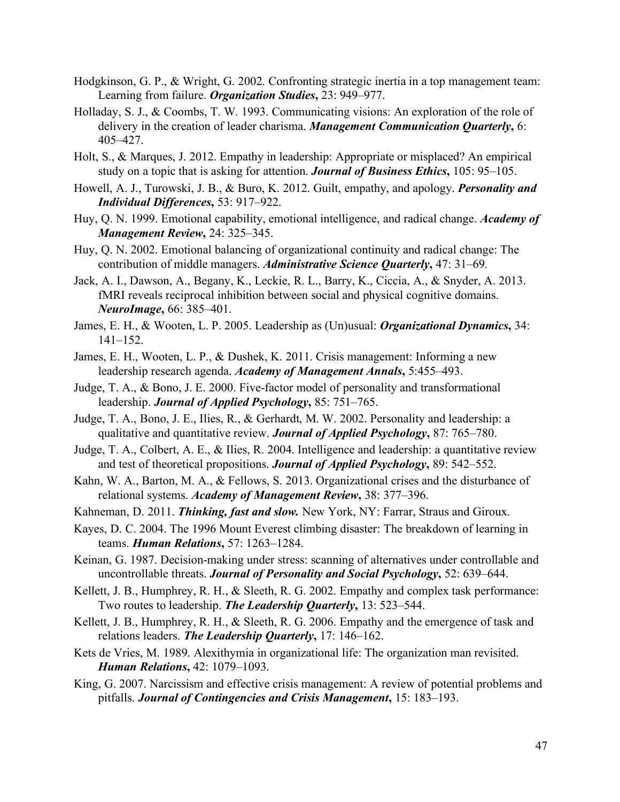- Hodgkinson, G. P., & Wright, G. 2002. Confronting strategic inertia in a top management team: Learning from failure. *Organization Studies***,** 23: 949–977.
- Holladay, S. J., & Coombs, T. W. 1993. Communicating visions: An exploration of the role of delivery in the creation of leader charisma. *Management Communication Quarterly***,** 6: 405–427.
- Holt, S., & Marques, J. 2012. Empathy in leadership: Appropriate or misplaced? An empirical study on a topic that is asking for attention. *Journal of Business Ethics***,** 105: 95–105.
- Howell, A. J., Turowski, J. B., & Buro, K. 2012. Guilt, empathy, and apology. *Personality and Individual Differences***,** 53: 917–922.
- Huy, Q. N. 1999. Emotional capability, emotional intelligence, and radical change. *Academy of Management Review***,** 24: 325–345.
- Huy, Q. N. 2002. Emotional balancing of organizational continuity and radical change: The contribution of middle managers. *Administrative Science Quarterly***,** 47: 31–69*.*
- Jack, A. I., Dawson, A., Begany, K., Leckie, R. L., Barry, K., Ciccia, A., & Snyder, A. 2013. fMRI reveals reciprocal inhibition between social and physical cognitive domains. *NeuroImage***,** 66: 385–401.
- James, E. H., & Wooten, L. P. 2005. Leadership as (Un)usual: *Organizational Dynamics***,** 34: 141–152.
- James, E. H., Wooten, L. P., & Dushek, K. 2011. Crisis management: Informing a new leadership research agenda. *Academy of Management Annals***,** 5:455–493.
- Judge, T. A., & Bono, J. E. 2000. Five-factor model of personality and transformational leadership. *Journal of Applied Psychology***,** 85: 751–765.
- Judge, T. A., Bono, J. E., Ilies, R., & Gerhardt, M. W. 2002. Personality and leadership: a qualitative and quantitative review. *Journal of Applied Psychology***,** 87: 765–780.
- Judge, T. A., Colbert, A. E., & Ilies, R. 2004. Intelligence and leadership: a quantitative review and test of theoretical propositions. *Journal of Applied Psychology***,** 89: 542–552.
- Kahn, W. A., Barton, M. A., & Fellows, S. 2013. Organizational crises and the disturbance of relational systems. *Academy of Management Review***,** 38: 377–396.
- Kahneman, D. 2011. *Thinking, fast and slow.* New York, NY: Farrar, Straus and Giroux.
- Kayes, D. C. 2004. The 1996 Mount Everest climbing disaster: The breakdown of learning in teams. *Human Relations***,** 57: 1263–1284.
- Keinan, G. 1987. Decision-making under stress: scanning of alternatives under controllable and uncontrollable threats. *Journal of Personality and Social Psychology***,** 52: 639–644.
- Kellett, J. B., Humphrey, R. H., & Sleeth, R. G. 2002. Empathy and complex task performance: Two routes to leadership. *The Leadership Quarterly***,** 13: 523–544.
- Kellett, J. B., Humphrey, R. H., & Sleeth, R. G. 2006. Empathy and the emergence of task and relations leaders. *The Leadership Quarterly***,** 17: 146–162.
- Kets de Vries, M. 1989. Alexithymia in organizational life: The organization man revisited. *Human Relations***,** 42: 1079–1093.
- King, G. 2007. Narcissism and effective crisis management: A review of potential problems and pitfalls. *Journal of Contingencies and Crisis Management***,** 15: 183–193.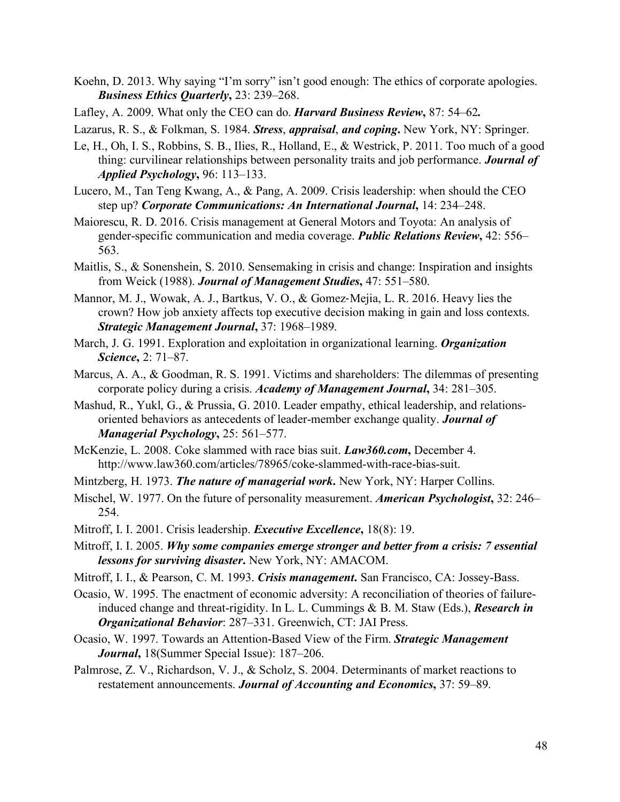- Koehn, D. 2013. Why saying "I'm sorry" isn't good enough: The ethics of corporate apologies. *Business Ethics Quarterly***,** 23: 239–268.
- Lafley, A. 2009. What only the CEO can do. *Harvard Business Review***,** 87: 54–62*.*

Lazarus, R. S., & Folkman, S. 1984. *Stress*, *appraisal*, *and coping***.** New York, NY: Springer.

- Le, H., Oh, I. S., Robbins, S. B., Ilies, R., Holland, E., & Westrick, P. 2011. Too much of a good thing: curvilinear relationships between personality traits and job performance. *Journal of Applied Psychology***,** 96: 113–133.
- Lucero, M., Tan Teng Kwang, A., & Pang, A. 2009. Crisis leadership: when should the CEO step up? *Corporate Communications: An International Journal***,** 14: 234–248.
- Maiorescu, R. D. 2016. Crisis management at General Motors and Toyota: An analysis of gender-specific communication and media coverage. *Public Relations Review***,** 42: 556– 563.
- Maitlis, S., & Sonenshein, S. 2010. Sensemaking in crisis and change: Inspiration and insights from Weick (1988). *Journal of Management Studies***,** 47: 551–580.
- Mannor, M. J., Wowak, A. J., Bartkus, V. O., & Gomez-Mejia, L. R. 2016. Heavy lies the crown? How job anxiety affects top executive decision making in gain and loss contexts. *Strategic Management Journal***,** 37: 1968–1989.
- March, J. G. 1991. Exploration and exploitation in organizational learning. *Organization Science***,** 2: 71–87.
- Marcus, A. A., & Goodman, R. S. 1991. Victims and shareholders: The dilemmas of presenting corporate policy during a crisis. *Academy of Management Journal***,** 34: 281–305.
- Mashud, R., Yukl, G., & Prussia, G. 2010. Leader empathy, ethical leadership, and relationsoriented behaviors as antecedents of leader-member exchange quality. *Journal of Managerial Psychology***,** 25: 561–577.
- McKenzie, L. 2008. Coke slammed with race bias suit. *Law360.com***,** December 4. http://www.law360.com/articles/78965/coke-slammed-with-race-bias-suit.
- Mintzberg, H. 1973. *The nature of managerial work***.** New York, NY: Harper Collins.
- Mischel, W. 1977. On the future of personality measurement. *American Psychologist***,** 32: 246– 254.
- Mitroff, I. I. 2001. Crisis leadership. *Executive Excellence***,** 18(8): 19.
- Mitroff, I. I. 2005. *Why some companies emerge stronger and better from a crisis: 7 essential lessons for surviving disaster***.** New York, NY: AMACOM.
- Mitroff, I. I., & Pearson, C. M. 1993. *Crisis management***.** San Francisco, CA: Jossey-Bass.
- Ocasio, W. 1995. The enactment of economic adversity: A reconciliation of theories of failureinduced change and threat-rigidity. In L. L. Cummings & B. M. Staw (Eds.), *Research in Organizational Behavior*: 287–331. Greenwich, CT: JAI Press.
- Ocasio, W. 1997. Towards an Attention-Based View of the Firm. *Strategic Management Journal***,** 18(Summer Special Issue): 187–206.
- Palmrose, Z. V., Richardson, V. J., & Scholz, S. 2004. Determinants of market reactions to restatement announcements. *Journal of Accounting and Economics***,** 37: 59–89.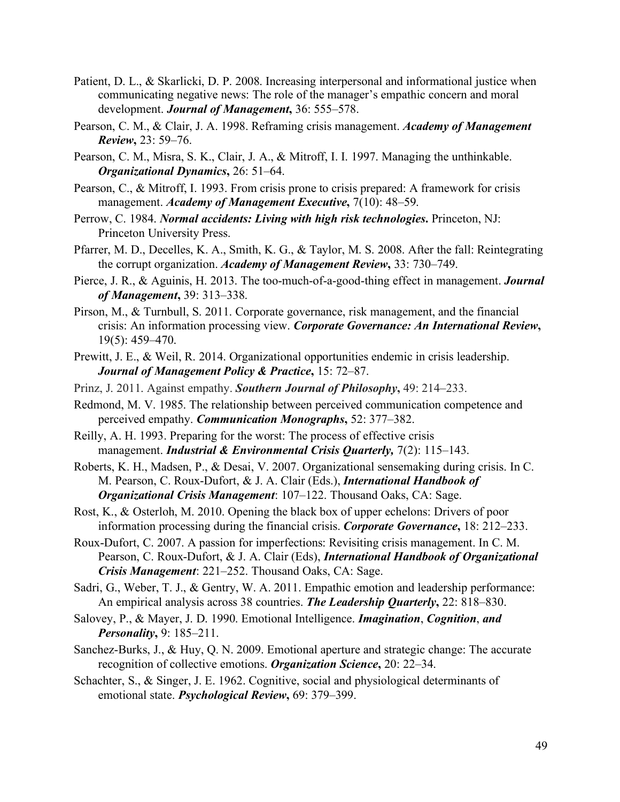- Patient, D. L., & Skarlicki, D. P. 2008. Increasing interpersonal and informational justice when communicating negative news: The role of the manager's empathic concern and moral development. *Journal of Management***,** 36: 555–578.
- Pearson, C. M., & Clair, J. A. 1998. Reframing crisis management. *Academy of Management Review***,** 23: 59–76.
- Pearson, C. M., Misra, S. K., Clair, J. A., & Mitroff, I. I. 1997. Managing the unthinkable. *Organizational Dynamics***,** 26: 51–64.
- Pearson, C., & Mitroff, I. 1993. From crisis prone to crisis prepared: A framework for crisis management. *Academy of Management Executive*,  $7(10)$ : 48-59.
- Perrow, C. 1984. *Normal accidents: Living with high risk technologies***.** Princeton, NJ: Princeton University Press.
- Pfarrer, M. D., Decelles, K. A., Smith, K. G., & Taylor, M. S. 2008. After the fall: Reintegrating the corrupt organization. *Academy of Management Review***,** 33: 730–749.
- Pierce, J. R., & Aguinis, H. 2013. The too-much-of-a-good-thing effect in management. *Journal of Management***,** 39: 313–338.
- Pirson, M., & Turnbull, S. 2011. Corporate governance, risk management, and the financial crisis: An information processing view. *Corporate Governance: An International Review***,**  19(5): 459–470.
- Prewitt, J. E., & Weil, R. 2014. Organizational opportunities endemic in crisis leadership. *Journal of Management Policy & Practice***,** 15: 72–87.
- Prinz, J. 2011. Against empathy. *Southern Journal of Philosophy***,** 49: 214–233.
- Redmond, M. V. 1985. The relationship between perceived communication competence and perceived empathy. *Communication Monographs***,** 52: 377–382.
- Reilly, A. H. 1993. Preparing for the worst: The process of effective crisis management. *Industrial & Environmental Crisis Quarterly,* 7(2): 115–143.
- Roberts, K. H., Madsen, P., & Desai, V. 2007. Organizational sensemaking during crisis. In C. M. Pearson, C. Roux-Dufort, & J. A. Clair (Eds.), *International Handbook of Organizational Crisis Management*: 107–122. Thousand Oaks, CA: Sage.
- Rost, K., & Osterloh, M. 2010. Opening the black box of upper echelons: Drivers of poor information processing during the financial crisis. *Corporate Governance***,** 18: 212–233.
- Roux-Dufort, C. 2007. A passion for imperfections: Revisiting crisis management. In C. M. Pearson, C. Roux-Dufort, & J. A. Clair (Eds), *International Handbook of Organizational Crisis Management*: 221–252. Thousand Oaks, CA: Sage.
- Sadri, G., Weber, T. J., & Gentry, W. A. 2011. Empathic emotion and leadership performance: An empirical analysis across 38 countries. *The Leadership Quarterly***,** 22: 818–830.
- Salovey, P., & Mayer, J. D. 1990. Emotional Intelligence. *Imagination*, *Cognition*, *and Personality***,** 9: 185–211.
- Sanchez-Burks, J., & Huy, Q. N. 2009. Emotional aperture and strategic change: The accurate recognition of collective emotions. *Organization Science***,** 20: 22–34.
- Schachter, S., & Singer, J. E. 1962. Cognitive, social and physiological determinants of emotional state. *Psychological Review***,** 69: 379–399.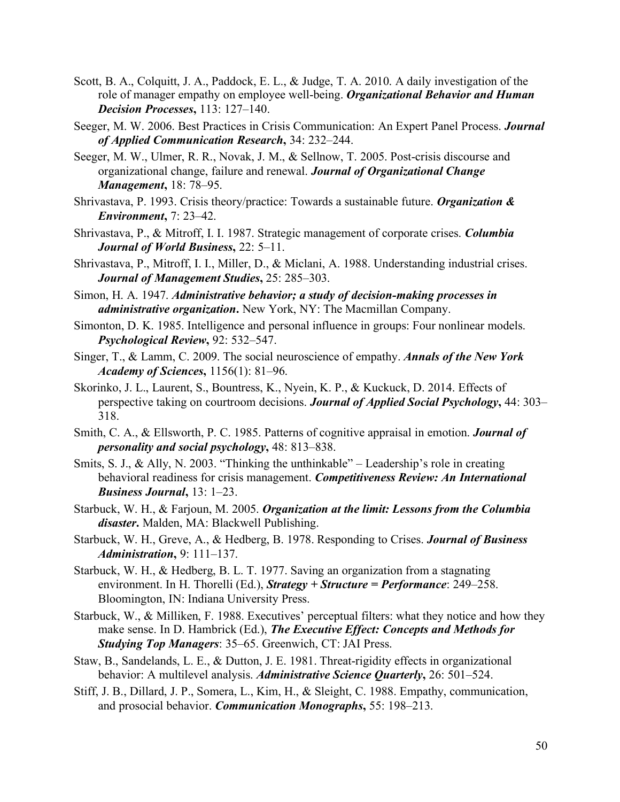- Scott, B. A., Colquitt, J. A., Paddock, E. L., & Judge, T. A. 2010. A daily investigation of the role of manager empathy on employee well-being. *Organizational Behavior and Human Decision Processes***,** 113: 127–140.
- Seeger, M. W. 2006. Best Practices in Crisis Communication: An Expert Panel Process. *Journal of Applied Communication Research***,** 34: 232–244.
- Seeger, M. W., Ulmer, R. R., Novak, J. M., & Sellnow, T. 2005. Post-crisis discourse and organizational change, failure and renewal. *Journal of Organizational Change Management***,** 18: 78–95.
- Shrivastava, P. 1993. Crisis theory/practice: Towards a sustainable future. *Organization & Environment***,** 7: 23–42.
- Shrivastava, P., & Mitroff, I. I. 1987. Strategic management of corporate crises. *Columbia Journal of World Business***,** 22: 5–11.
- Shrivastava, P., Mitroff, I. I., Miller, D., & Miclani, A. 1988. Understanding industrial crises. *Journal of Management Studies***,** 25: 285–303.
- Simon, H. A. 1947. *Administrative behavior; a study of decision-making processes in administrative organization***.** New York, NY: The Macmillan Company.
- Simonton, D. K. 1985. Intelligence and personal influence in groups: Four nonlinear models. *Psychological Review***,** 92: 532–547.
- Singer, T., & Lamm, C. 2009. The social neuroscience of empathy. *Annals of the New York Academy of Sciences***,** 1156(1): 81–96.
- Skorinko, J. L., Laurent, S., Bountress, K., Nyein, K. P., & Kuckuck, D. 2014. Effects of perspective taking on courtroom decisions. *Journal of Applied Social Psychology***,** 44: 303– 318.
- Smith, C. A., & Ellsworth, P. C. 1985. Patterns of cognitive appraisal in emotion. *Journal of personality and social psychology***,** 48: 813–838.
- Smits, S. J., & Ally, N. 2003. "Thinking the unthinkable" Leadership's role in creating behavioral readiness for crisis management. *Competitiveness Review: An International Business Journal***,** 13: 1–23.
- Starbuck, W. H., & Farjoun, M. 2005. *Organization at the limit: Lessons from the Columbia disaster***.** Malden, MA: Blackwell Publishing.
- Starbuck, W. H., Greve, A., & Hedberg, B. 1978. Responding to Crises. *Journal of Business Administration***,** 9: 111–137.
- Starbuck, W. H., & Hedberg, B. L. T. 1977. Saving an organization from a stagnating environment. In H. Thorelli (Ed.), *Strategy + Structure = Performance*: 249–258. Bloomington, IN: Indiana University Press.
- Starbuck, W., & Milliken, F. 1988. Executives' perceptual filters: what they notice and how they make sense. In D. Hambrick (Ed.), *The Executive Effect: Concepts and Methods for Studying Top Managers*: 35–65. Greenwich, CT: JAI Press.
- Staw, B., Sandelands, L. E., & Dutton, J. E. 1981. Threat-rigidity effects in organizational behavior: A multilevel analysis. *Administrative Science Quarterly***,** 26: 501–524.
- Stiff, J. B., Dillard, J. P., Somera, L., Kim, H., & Sleight, C. 1988. Empathy, communication, and prosocial behavior. *Communication Monographs***,** 55: 198–213.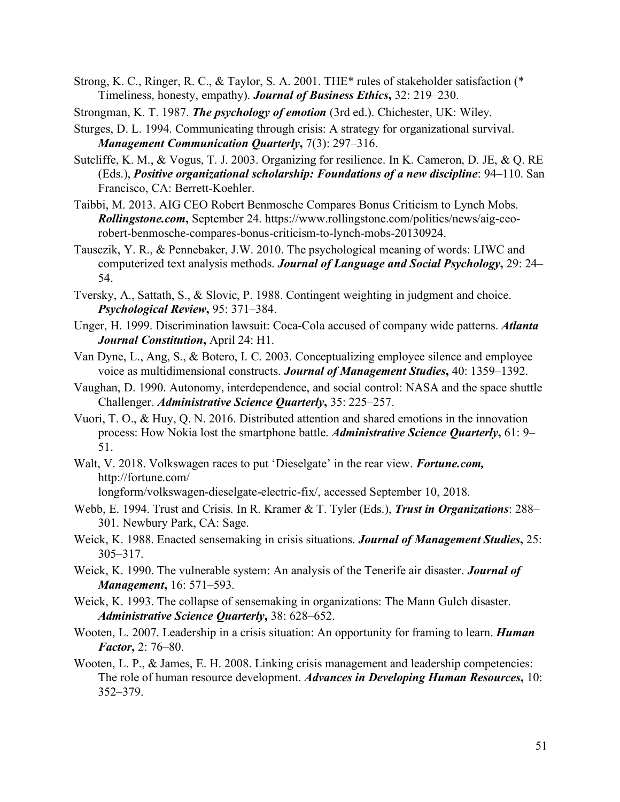- Strong, K. C., Ringer, R. C., & Taylor, S. A. 2001. THE\* rules of stakeholder satisfaction (\* Timeliness, honesty, empathy). *Journal of Business Ethics***,** 32: 219–230.
- Strongman, K. T. 1987. *The psychology of emotion* (3rd ed.). Chichester, UK: Wiley.
- Sturges, D. L. 1994. Communicating through crisis: A strategy for organizational survival. *Management Communication Quarterly***,** 7(3): 297–316.
- Sutcliffe, K. M., & Vogus, T. J. 2003. Organizing for resilience. In K. Cameron, D. JE, & Q. RE (Eds.), *Positive organizational scholarship: Foundations of a new discipline*: 94–110. San Francisco, CA: Berrett-Koehler.
- Taibbi, M. 2013. AIG CEO Robert Benmosche Compares Bonus Criticism to Lynch Mobs. *Rollingstone.com***,** September 24. https://www.rollingstone.com/politics/news/aig-ceorobert-benmosche-compares-bonus-criticism-to-lynch-mobs-20130924.
- Tausczik, Y. R., & Pennebaker, J.W. 2010. The psychological meaning of words: LIWC and computerized text analysis methods. *Journal of Language and Social Psychology***,** 29: 24– 54.
- Tversky, A., Sattath, S., & Slovic, P. 1988. Contingent weighting in judgment and choice. *Psychological Review***,** 95: 371–384.
- Unger, H. 1999. Discrimination lawsuit: Coca-Cola accused of company wide patterns. *Atlanta Journal Constitution***,** April 24: H1.
- Van Dyne, L., Ang, S., & Botero, I. C. 2003. Conceptualizing employee silence and employee voice as multidimensional constructs. *Journal of Management Studies***,** 40: 1359–1392.
- Vaughan, D. 1990. Autonomy, interdependence, and social control: NASA and the space shuttle Challenger. *Administrative Science Quarterly***,** 35: 225–257.
- Vuori, T. O., & Huy, Q. N. 2016. Distributed attention and shared emotions in the innovation process: How Nokia lost the smartphone battle. *Administrative Science Quarterly***,** 61: 9– 51.
- Walt, V. 2018. Volkswagen races to put 'Dieselgate' in the rear view. *Fortune.com,* http://fortune.com/

longform/volkswagen-dieselgate-electric-fix/, accessed September 10, 2018.

- Webb, E. 1994. Trust and Crisis. In R. Kramer & T. Tyler (Eds.), *Trust in Organizations*: 288– 301. Newbury Park, CA: Sage.
- Weick, K. 1988. Enacted sensemaking in crisis situations. *Journal of Management Studies***,** 25: 305–317.
- Weick, K. 1990. The vulnerable system: An analysis of the Tenerife air disaster. *Journal of Management***,** 16: 571–593.
- Weick, K. 1993. The collapse of sensemaking in organizations: The Mann Gulch disaster. *Administrative Science Quarterly***,** 38: 628–652.
- Wooten, L. 2007. Leadership in a crisis situation: An opportunity for framing to learn. *Human Factor***,** 2: 76–80.
- Wooten, L. P., & James, E. H. 2008. Linking crisis management and leadership competencies: The role of human resource development. *Advances in Developing Human Resources***,** 10: 352–379.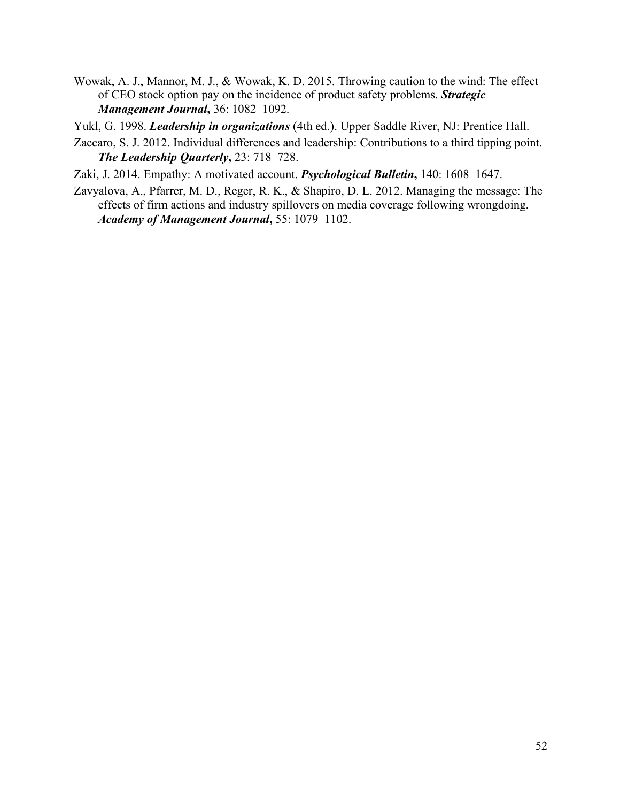- Wowak, A. J., Mannor, M. J., & Wowak, K. D. 2015. Throwing caution to the wind: The effect of CEO stock option pay on the incidence of product safety problems. *Strategic Management Journal***,** 36: 1082–1092.
- Yukl, G. 1998. *Leadership in organizations* (4th ed.). Upper Saddle River, NJ: Prentice Hall.
- Zaccaro, S. J. 2012. Individual differences and leadership: Contributions to a third tipping point. *The Leadership Quarterly***,** 23: 718–728.

Zaki, J. 2014. Empathy: A motivated account. *Psychological Bulletin***,** 140: 1608–1647.

Zavyalova, A., Pfarrer, M. D., Reger, R. K., & Shapiro, D. L. 2012. Managing the message: The effects of firm actions and industry spillovers on media coverage following wrongdoing. *Academy of Management Journal***,** 55: 1079–1102.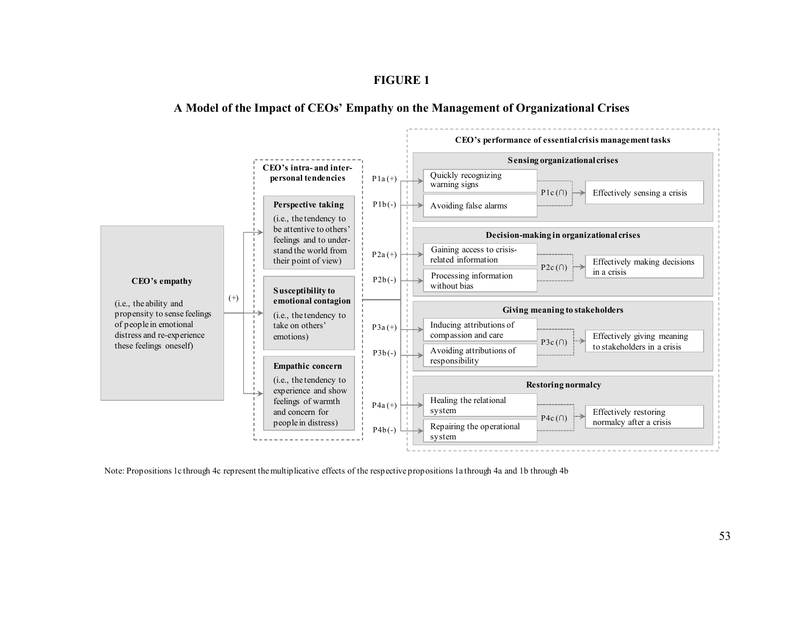# **FIGURE 1**

# **A Model of the Impact of CEOs' Empathy on the Management of Organizational Crises**



Note: Propositions 1c through 4c represent the multiplicative effects of the respective propositions 1a through 4a and 1b through 4b